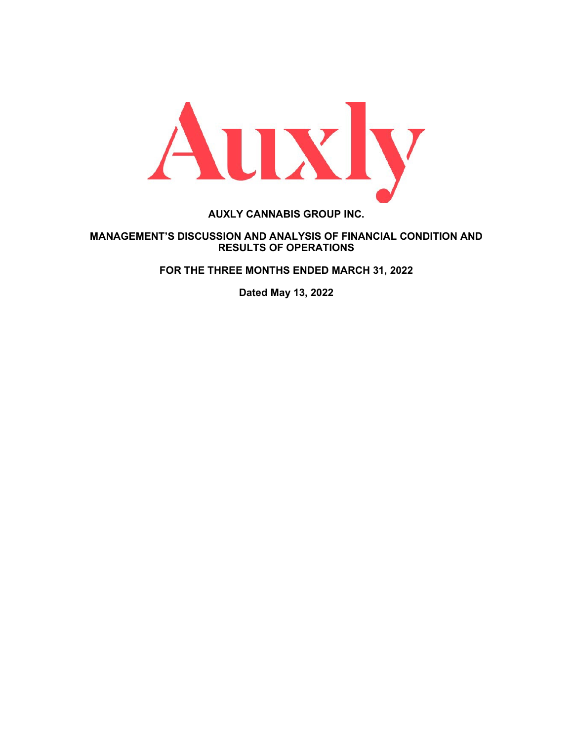

**AUXLY CANNABIS GROUP INC.**

# **MANAGEMENT'S DISCUSSION AND ANALYSIS OF FINANCIAL CONDITION AND RESULTS OF OPERATIONS**

**FOR THE THREE MONTHS ENDED MARCH 31, 2022**

**Dated May 13, 2022**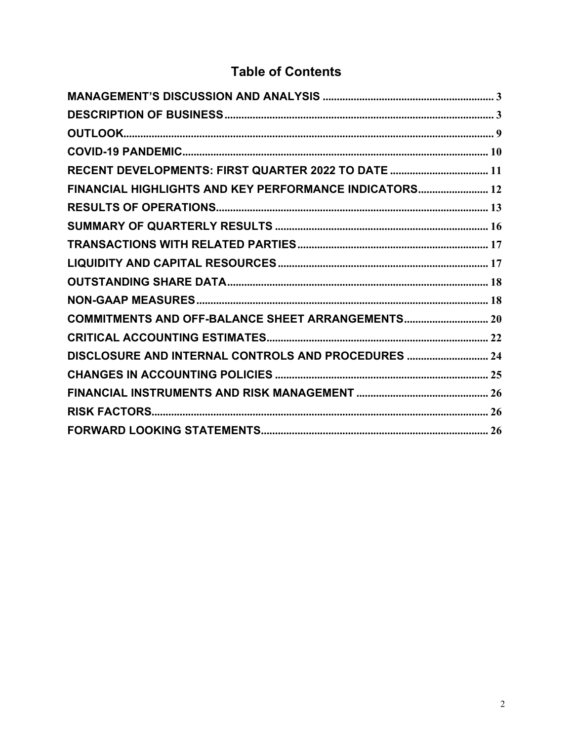# **Table of Contents**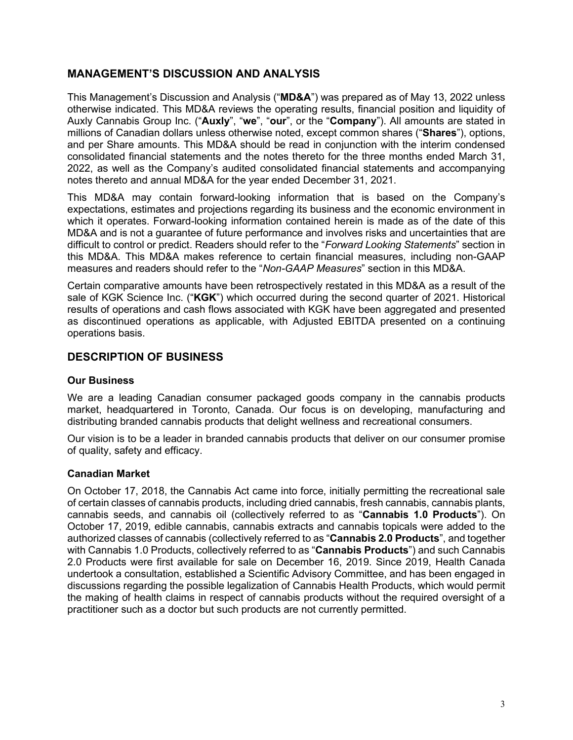# <span id="page-2-0"></span>**MANAGEMENT'S DISCUSSION AND ANALYSIS**

This Management's Discussion and Analysis ("**MD&A**") was prepared as of May 13, 2022 unless otherwise indicated. This MD&A reviews the operating results, financial position and liquidity of Auxly Cannabis Group Inc. ("**Auxly**", "**we**", "**our**", or the "**Company**"). All amounts are stated in millions of Canadian dollars unless otherwise noted, except common shares ("**Shares**"), options, and per Share amounts. This MD&A should be read in conjunction with the interim condensed consolidated financial statements and the notes thereto for the three months ended March 31, 2022, as well as the Company's audited consolidated financial statements and accompanying notes thereto and annual MD&A for the year ended December 31, 2021.

This MD&A may contain forward-looking information that is based on the Company's expectations, estimates and projections regarding its business and the economic environment in which it operates. Forward-looking information contained herein is made as of the date of this MD&A and is not a guarantee of future performance and involves risks and uncertainties that are difficult to control or predict. Readers should refer to the "*Forward Looking Statements*" section in this MD&A. This MD&A makes reference to certain financial measures, including non-GAAP measures and readers should refer to the "*Non-GAAP Measures*" section in this MD&A.

Certain comparative amounts have been retrospectively restated in this MD&A as a result of the sale of KGK Science Inc. ("**KGK**") which occurred during the second quarter of 2021. Historical results of operations and cash flows associated with KGK have been aggregated and presented as discontinued operations as applicable, with Adjusted EBITDA presented on a continuing operations basis.

# <span id="page-2-1"></span>**DESCRIPTION OF BUSINESS**

# **Our Business**

We are a leading Canadian consumer packaged goods company in the cannabis products market, headquartered in Toronto, Canada. Our focus is on developing, manufacturing and distributing branded cannabis products that delight wellness and recreational consumers.

Our vision is to be a leader in branded cannabis products that deliver on our consumer promise of quality, safety and efficacy.

# **Canadian Market**

On October 17, 2018, the Cannabis Act came into force, initially permitting the recreational sale of certain classes of cannabis products, including dried cannabis, fresh cannabis, cannabis plants, cannabis seeds, and cannabis oil (collectively referred to as "**Cannabis 1.0 Products**"). On October 17, 2019, edible cannabis, cannabis extracts and cannabis topicals were added to the authorized classes of cannabis (collectively referred to as "**Cannabis 2.0 Products**", and together with Cannabis 1.0 Products, collectively referred to as "**Cannabis Products**") and such Cannabis 2.0 Products were first available for sale on December 16, 2019. Since 2019, Health Canada undertook a consultation, established a Scientific Advisory Committee, and has been engaged in discussions regarding the possible legalization of Cannabis Health Products, which would permit the making of health claims in respect of cannabis products without the required oversight of a practitioner such as a doctor but such products are not currently permitted.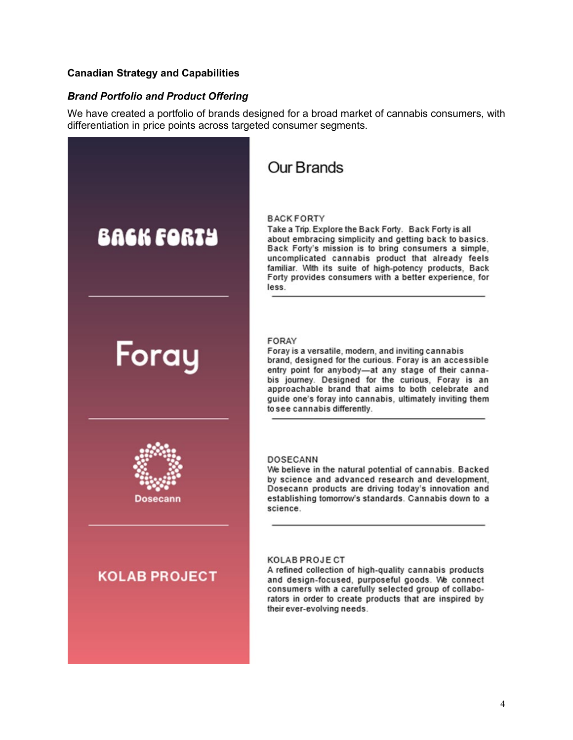#### **Canadian Strategy and Capabilities**

#### *Brand Portfolio and Product Offering*

We have created a portfolio of brands designed for a broad market of cannabis consumers, with differentiation in price points across targeted consumer segments.



# **Our Brands**

#### **BACKFORTY**

Take a Trip. Explore the Back Forty. Back Forty is all about embracing simplicity and getting back to basics. Back Forty's mission is to bring consumers a simple, uncomplicated cannabis product that already feels familiar. With its suite of high-potency products, Back Forty provides consumers with a better experience, for less.

#### **FORAY**

Foray is a versatile, modern, and inviting cannabis brand, designed for the curious. Foray is an accessible entry point for anybody-at any stage of their cannabis journey. Designed for the curious, Foray is an approachable brand that aims to both celebrate and guide one's foray into cannabis, ultimately inviting them to see cannabis differently.

#### **DOSECANN**

We believe in the natural potential of cannabis. Backed by science and advanced research and development. Dosecann products are driving today's innovation and establishing tomorrow's standards. Cannabis down to a science.

#### **KOLAB PROJECT**

A refined collection of high-quality cannabis products and design-focused, purposeful goods. We connect consumers with a carefully selected group of collaborators in order to create products that are inspired by their ever-evolving needs.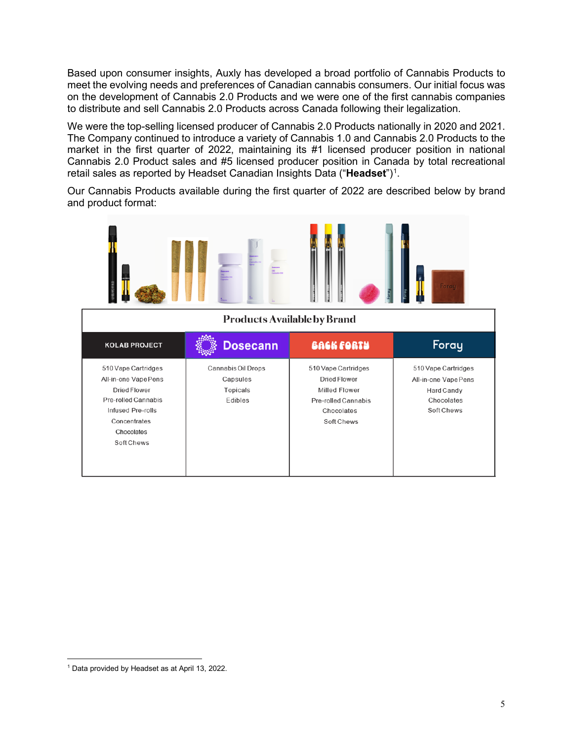Based upon consumer insights, Auxly has developed a broad portfolio of Cannabis Products to meet the evolving needs and preferences of Canadian cannabis consumers. Our initial focus was on the development of Cannabis 2.0 Products and we were one of the first cannabis companies to distribute and sell Cannabis 2.0 Products across Canada following their legalization.

We were the top-selling licensed producer of Cannabis 2.0 Products nationally in 2020 and 2021. The Company continued to introduce a variety of Cannabis 1.0 and Cannabis 2.0 Products to the market in the first quarter of 2022, maintaining its #1 licensed producer position in national Cannabis 2.0 Product sales and #5 licensed producer position in Canada by total recreational retail sales as reported by Headset Canadian Insights Data ("**Headset**")<sup>1</sup>.

Our Cannabis Products available during the first quarter of 2022 are described below by brand and product format:

|                                                                                                                                                            | <b>Products Available by Brand</b>                    |                                                                                                                       | Foray                                                                                 |
|------------------------------------------------------------------------------------------------------------------------------------------------------------|-------------------------------------------------------|-----------------------------------------------------------------------------------------------------------------------|---------------------------------------------------------------------------------------|
| <b>KOLAB PROJECT</b>                                                                                                                                       | <b>Dosecann</b>                                       | BACK FORTY                                                                                                            | Foray                                                                                 |
| 510 Vape Cartridges<br>All-in-one Vape Pens<br><b>Dried Flower</b><br>Pre-rolled Cannabis<br>Infused Pre-rolls<br>Concentrates<br>Chocolates<br>Soft Chews | Cannabis Oil Drops<br>Capsules<br>Topicals<br>Edibles | 510 Vape Cartridges<br><b>Dried Flower</b><br>Milled Flower<br><b>Pre-rolled Cannabis</b><br>Chocolates<br>Soft Chews | 510 Vape Cartridges<br>All-in-one Vape Pens<br>Hard Candy<br>Chocolates<br>Soft Chews |

<span id="page-4-0"></span><sup>1</sup> Data provided by Headset as at April 13, 2022.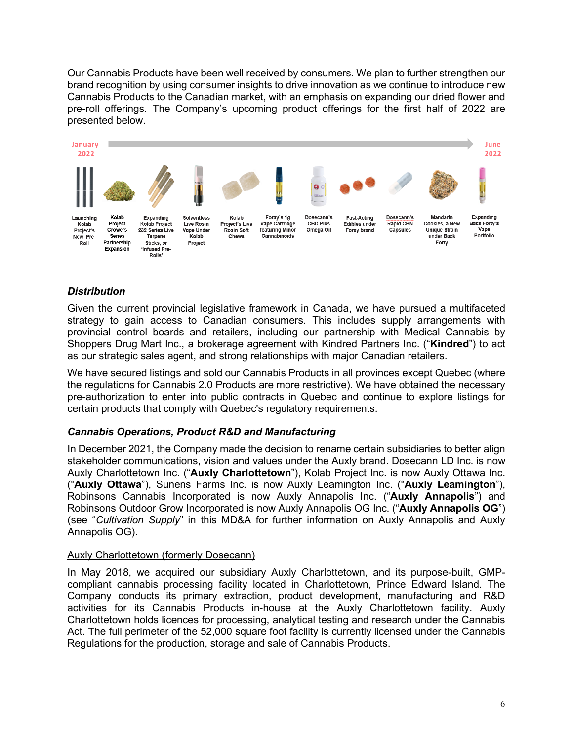Our Cannabis Products have been well received by consumers. We plan to further strengthen our brand recognition by using consumer insights to drive innovation as we continue to introduce new Cannabis Products to the Canadian market, with an emphasis on expanding our dried flower and pre-roll offerings. The Company's upcoming product offerings for the first half of 2022 are presented below.



# *Distribution*

Given the current provincial legislative framework in Canada, we have pursued a multifaceted strategy to gain access to Canadian consumers. This includes supply arrangements with provincial control boards and retailers, including our partnership with Medical Cannabis by Shoppers Drug Mart Inc., a brokerage agreement with Kindred Partners Inc. ("**Kindred**") to act as our strategic sales agent, and strong relationships with major Canadian retailers.

We have secured listings and sold our Cannabis Products in all provinces except Quebec (where the regulations for Cannabis 2.0 Products are more restrictive). We have obtained the necessary pre-authorization to enter into public contracts in Quebec and continue to explore listings for certain products that comply with Quebec's regulatory requirements.

# *Cannabis Operations, Product R&D and Manufacturing*

In December 2021, the Company made the decision to rename certain subsidiaries to better align stakeholder communications, vision and values under the Auxly brand. Dosecann LD Inc. is now Auxly Charlottetown Inc. ("**Auxly Charlottetown**"), Kolab Project Inc. is now Auxly Ottawa Inc. ("**Auxly Ottawa**"), Sunens Farms Inc. is now Auxly Leamington Inc. ("**Auxly Leamington**"), Robinsons Cannabis Incorporated is now Auxly Annapolis Inc. ("**Auxly Annapolis**") and Robinsons Outdoor Grow Incorporated is now Auxly Annapolis OG Inc. ("**Auxly Annapolis OG**") (see "*Cultivation Supply*" in this MD&A for further information on Auxly Annapolis and Auxly Annapolis OG).

# Auxly Charlottetown (formerly Dosecann)

In May 2018, we acquired our subsidiary Auxly Charlottetown, and its purpose-built, GMPcompliant cannabis processing facility located in Charlottetown, Prince Edward Island. The Company conducts its primary extraction, product development, manufacturing and R&D activities for its Cannabis Products in-house at the Auxly Charlottetown facility. Auxly Charlottetown holds licences for processing, analytical testing and research under the Cannabis Act. The full perimeter of the 52,000 square foot facility is currently licensed under the Cannabis Regulations for the production, storage and sale of Cannabis Products.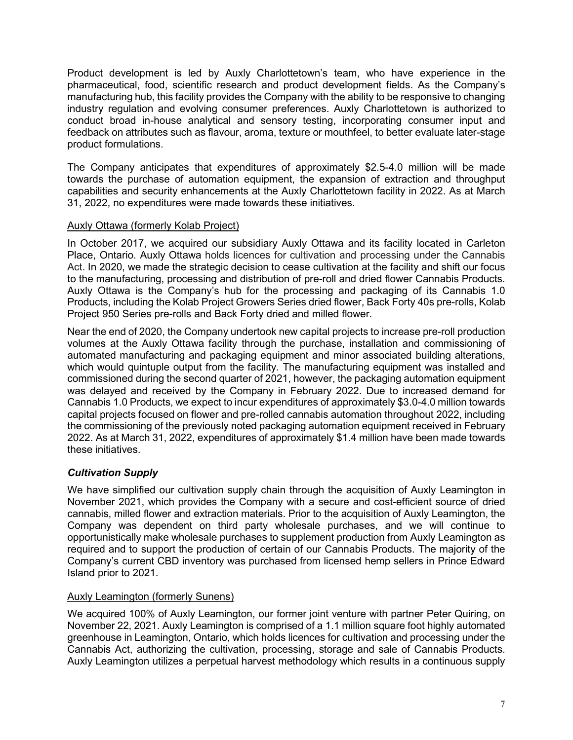Product development is led by Auxly Charlottetown's team, who have experience in the pharmaceutical, food, scientific research and product development fields. As the Company's manufacturing hub, this facility provides the Company with the ability to be responsive to changing industry regulation and evolving consumer preferences. Auxly Charlottetown is authorized to conduct broad in-house analytical and sensory testing, incorporating consumer input and feedback on attributes such as flavour, aroma, texture or mouthfeel, to better evaluate later-stage product formulations.

The Company anticipates that expenditures of approximately \$2.5-4.0 million will be made towards the purchase of automation equipment, the expansion of extraction and throughput capabilities and security enhancements at the Auxly Charlottetown facility in 2022. As at March 31, 2022, no expenditures were made towards these initiatives.

# Auxly Ottawa (formerly Kolab Project)

In October 2017, we acquired our subsidiary Auxly Ottawa and its facility located in Carleton Place, Ontario. Auxly Ottawa holds licences for cultivation and processing under the Cannabis Act. In 2020, we made the strategic decision to cease cultivation at the facility and shift our focus to the manufacturing, processing and distribution of pre-roll and dried flower Cannabis Products. Auxly Ottawa is the Company's hub for the processing and packaging of its Cannabis 1.0 Products, including the Kolab Project Growers Series dried flower, Back Forty 40s pre-rolls, Kolab Project 950 Series pre-rolls and Back Forty dried and milled flower.

Near the end of 2020, the Company undertook new capital projects to increase pre-roll production volumes at the Auxly Ottawa facility through the purchase, installation and commissioning of automated manufacturing and packaging equipment and minor associated building alterations, which would quintuple output from the facility. The manufacturing equipment was installed and commissioned during the second quarter of 2021, however, the packaging automation equipment was delayed and received by the Company in February 2022. Due to increased demand for Cannabis 1.0 Products, we expect to incur expenditures of approximately \$3.0-4.0 million towards capital projects focused on flower and pre-rolled cannabis automation throughout 2022, including the commissioning of the previously noted packaging automation equipment received in February 2022. As at March 31, 2022, expenditures of approximately \$1.4 million have been made towards these initiatives.

# *Cultivation Supply*

We have simplified our cultivation supply chain through the acquisition of Auxly Leamington in November 2021, which provides the Company with a secure and cost-efficient source of dried cannabis, milled flower and extraction materials. Prior to the acquisition of Auxly Leamington, the Company was dependent on third party wholesale purchases, and we will continue to opportunistically make wholesale purchases to supplement production from Auxly Leamington as required and to support the production of certain of our Cannabis Products. The majority of the Company's current CBD inventory was purchased from licensed hemp sellers in Prince Edward Island prior to 2021.

# Auxly Leamington (formerly Sunens)

We acquired 100% of Auxly Leamington, our former joint venture with partner Peter Quiring, on November 22, 2021. Auxly Leamington is comprised of a 1.1 million square foot highly automated greenhouse in Leamington, Ontario, which holds licences for cultivation and processing under the Cannabis Act, authorizing the cultivation, processing, storage and sale of Cannabis Products. Auxly Leamington utilizes a perpetual harvest methodology which results in a continuous supply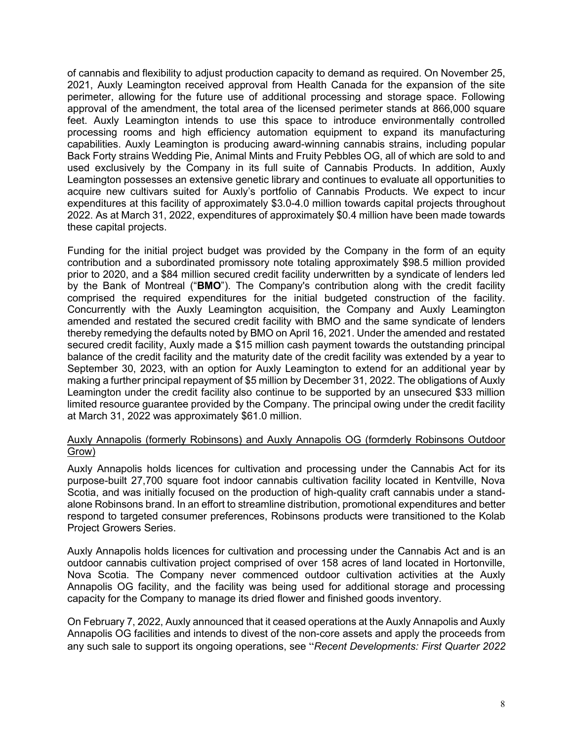of cannabis and flexibility to adjust production capacity to demand as required. On November 25, 2021, Auxly Leamington received approval from Health Canada for the expansion of the site perimeter, allowing for the future use of additional processing and storage space. Following approval of the amendment, the total area of the licensed perimeter stands at 866,000 square feet. Auxly Leamington intends to use this space to introduce environmentally controlled processing rooms and high efficiency automation equipment to expand its manufacturing capabilities. Auxly Leamington is producing award-winning cannabis strains, including popular Back Forty strains Wedding Pie, Animal Mints and Fruity Pebbles OG, all of which are sold to and used exclusively by the Company in its full suite of Cannabis Products. In addition, Auxly Leamington possesses an extensive genetic library and continues to evaluate all opportunities to acquire new cultivars suited for Auxly's portfolio of Cannabis Products. We expect to incur expenditures at this facility of approximately \$3.0-4.0 million towards capital projects throughout 2022. As at March 31, 2022, expenditures of approximately \$0.4 million have been made towards these capital projects.

Funding for the initial project budget was provided by the Company in the form of an equity contribution and a subordinated promissory note totaling approximately \$98.5 million provided prior to 2020, and a \$84 million secured credit facility underwritten by a syndicate of lenders led by the Bank of Montreal ("**BMO**"). The Company's contribution along with the credit facility comprised the required expenditures for the initial budgeted construction of the facility. Concurrently with the Auxly Leamington acquisition, the Company and Auxly Leamington amended and restated the secured credit facility with BMO and the same syndicate of lenders thereby remedying the defaults noted by BMO on April 16, 2021. Under the amended and restated secured credit facility, Auxly made a \$15 million cash payment towards the outstanding principal balance of the credit facility and the maturity date of the credit facility was extended by a year to September 30, 2023, with an option for Auxly Leamington to extend for an additional year by making a further principal repayment of \$5 million by December 31, 2022. The obligations of Auxly Leamington under the credit facility also continue to be supported by an unsecured \$33 million limited resource guarantee provided by the Company. The principal owing under the credit facility at March 31, 2022 was approximately \$61.0 million.

#### Auxly Annapolis (formerly Robinsons) and Auxly Annapolis OG (formderly Robinsons Outdoor Grow)

Auxly Annapolis holds licences for cultivation and processing under the Cannabis Act for its purpose-built 27,700 square foot indoor cannabis cultivation facility located in Kentville, Nova Scotia, and was initially focused on the production of high-quality craft cannabis under a standalone Robinsons brand. In an effort to streamline distribution, promotional expenditures and better respond to targeted consumer preferences, Robinsons products were transitioned to the Kolab Project Growers Series.

Auxly Annapolis holds licences for cultivation and processing under the Cannabis Act and is an outdoor cannabis cultivation project comprised of over 158 acres of land located in Hortonville, Nova Scotia. The Company never commenced outdoor cultivation activities at the Auxly Annapolis OG facility, and the facility was being used for additional storage and processing capacity for the Company to manage its dried flower and finished goods inventory.

On February 7, 2022, Auxly announced that it ceased operations at the Auxly Annapolis and Auxly Annapolis OG facilities and intends to divest of the non-core assets and apply the proceeds from any such sale to support its ongoing operations, see "*Recent Developments: First Quarter 2022*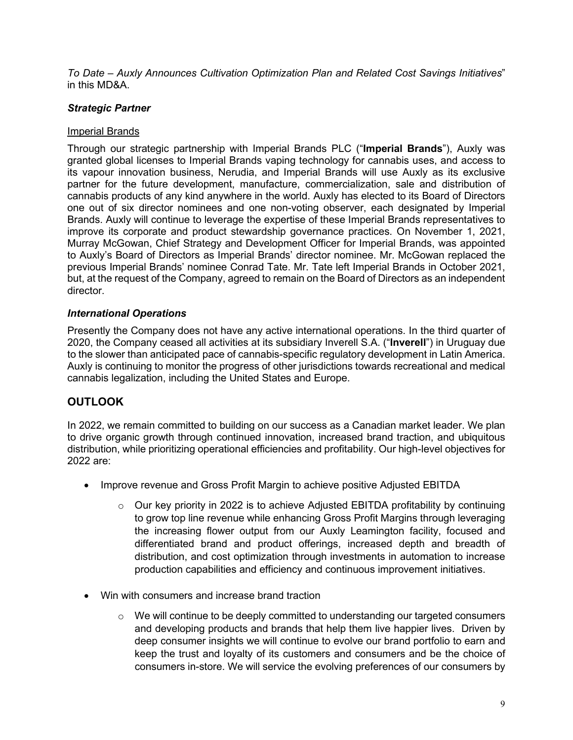*To Date – Auxly Announces Cultivation Optimization Plan and Related Cost Savings Initiatives*" in this MD&A.

# *Strategic Partner*

# Imperial Brands

Through our strategic partnership with Imperial Brands PLC ("**Imperial Brands**"), Auxly was granted global licenses to Imperial Brands vaping technology for cannabis uses, and access to its vapour innovation business, Nerudia, and Imperial Brands will use Auxly as its exclusive partner for the future development, manufacture, commercialization, sale and distribution of cannabis products of any kind anywhere in the world. Auxly has elected to its Board of Directors one out of six director nominees and one non-voting observer, each designated by Imperial Brands. Auxly will continue to leverage the expertise of these Imperial Brands representatives to improve its corporate and product stewardship governance practices. On November 1, 2021, Murray McGowan, Chief Strategy and Development Officer for Imperial Brands, was appointed to Auxly's Board of Directors as Imperial Brands' director nominee. Mr. McGowan replaced the previous Imperial Brands' nominee Conrad Tate. Mr. Tate left Imperial Brands in October 2021, but, at the request of the Company, agreed to remain on the Board of Directors as an independent director.

# *International Operations*

Presently the Company does not have any active international operations. In the third quarter of 2020, the Company ceased all activities at its subsidiary Inverell S.A. ("**Inverell**") in Uruguay due to the slower than anticipated pace of cannabis-specific regulatory development in Latin America. Auxly is continuing to monitor the progress of other jurisdictions towards recreational and medical cannabis legalization, including the United States and Europe.

# <span id="page-8-0"></span>**OUTLOOK**

In 2022, we remain committed to building on our success as a Canadian market leader. We plan to drive organic growth through continued innovation, increased brand traction, and ubiquitous distribution, while prioritizing operational efficiencies and profitability. Our high-level objectives for 2022 are:

- Improve revenue and Gross Profit Margin to achieve positive Adjusted EBITDA
	- $\circ$  Our key priority in 2022 is to achieve Adjusted EBITDA profitability by continuing to grow top line revenue while enhancing Gross Profit Margins through leveraging the increasing flower output from our Auxly Leamington facility, focused and differentiated brand and product offerings, increased depth and breadth of distribution, and cost optimization through investments in automation to increase production capabilities and efficiency and continuous improvement initiatives.
- Win with consumers and increase brand traction
	- $\circ$  We will continue to be deeply committed to understanding our targeted consumers and developing products and brands that help them live happier lives. Driven by deep consumer insights we will continue to evolve our brand portfolio to earn and keep the trust and loyalty of its customers and consumers and be the choice of consumers in-store. We will service the evolving preferences of our consumers by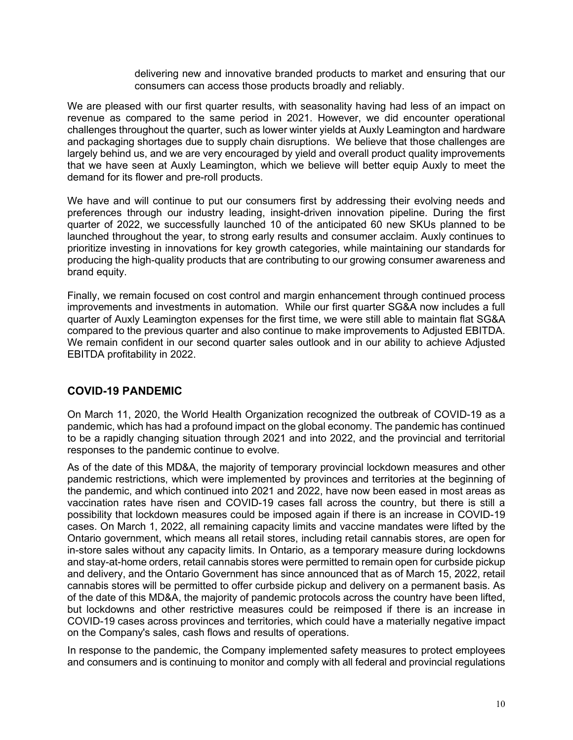delivering new and innovative branded products to market and ensuring that our consumers can access those products broadly and reliably.

We are pleased with our first quarter results, with seasonality having had less of an impact on revenue as compared to the same period in 2021. However, we did encounter operational challenges throughout the quarter, such as lower winter yields at Auxly Leamington and hardware and packaging shortages due to supply chain disruptions. We believe that those challenges are largely behind us, and we are very encouraged by yield and overall product quality improvements that we have seen at Auxly Leamington, which we believe will better equip Auxly to meet the demand for its flower and pre-roll products.

We have and will continue to put our consumers first by addressing their evolving needs and preferences through our industry leading, insight-driven innovation pipeline. During the first quarter of 2022, we successfully launched 10 of the anticipated 60 new SKUs planned to be launched throughout the year, to strong early results and consumer acclaim. Auxly continues to prioritize investing in innovations for key growth categories, while maintaining our standards for producing the high-quality products that are contributing to our growing consumer awareness and brand equity.

Finally, we remain focused on cost control and margin enhancement through continued process improvements and investments in automation. While our first quarter SG&A now includes a full quarter of Auxly Leamington expenses for the first time, we were still able to maintain flat SG&A compared to the previous quarter and also continue to make improvements to Adjusted EBITDA. We remain confident in our second quarter sales outlook and in our ability to achieve Adjusted EBITDA profitability in 2022.

# <span id="page-9-0"></span>**COVID-19 PANDEMIC**

On March 11, 2020, the World Health Organization recognized the outbreak of COVID-19 as a pandemic, which has had a profound impact on the global economy. The pandemic has continued to be a rapidly changing situation through 2021 and into 2022, and the provincial and territorial responses to the pandemic continue to evolve.

As of the date of this MD&A, the majority of temporary provincial lockdown measures and other pandemic restrictions, which were implemented by provinces and territories at the beginning of the pandemic, and which continued into 2021 and 2022, have now been eased in most areas as vaccination rates have risen and COVID-19 cases fall across the country, but there is still a possibility that lockdown measures could be imposed again if there is an increase in COVID-19 cases. On March 1, 2022, all remaining capacity limits and vaccine mandates were lifted by the Ontario government, which means all retail stores, including retail cannabis stores, are open for in-store sales without any capacity limits. In Ontario, as a temporary measure during lockdowns and stay-at-home orders, retail cannabis stores were permitted to remain open for curbside pickup and delivery, and the Ontario Government has since announced that as of March 15, 2022, retail cannabis stores will be permitted to offer curbside pickup and delivery on a permanent basis. As of the date of this MD&A, the majority of pandemic protocols across the country have been lifted, but lockdowns and other restrictive measures could be reimposed if there is an increase in COVID-19 cases across provinces and territories, which could have a materially negative impact on the Company's sales, cash flows and results of operations.

In response to the pandemic, the Company implemented safety measures to protect employees and consumers and is continuing to monitor and comply with all federal and provincial regulations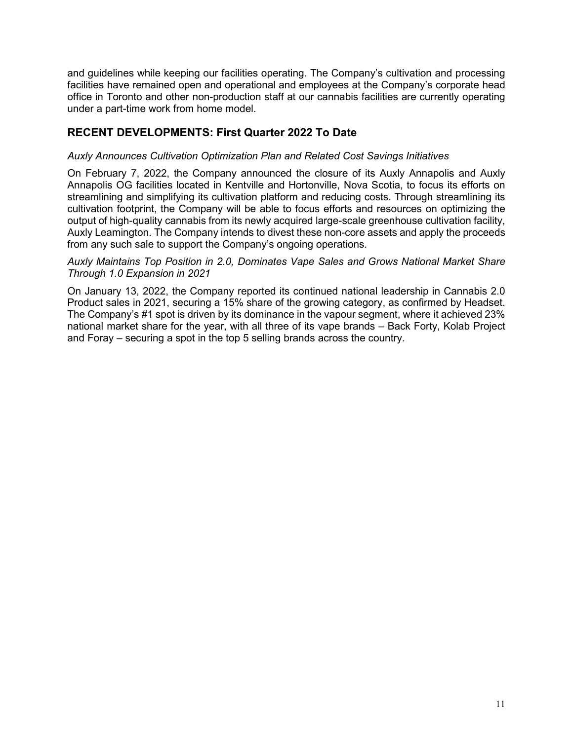and guidelines while keeping our facilities operating. The Company's cultivation and processing facilities have remained open and operational and employees at the Company's corporate head office in Toronto and other non-production staff at our cannabis facilities are currently operating under a part-time work from home model.

# <span id="page-10-0"></span>**RECENT DEVELOPMENTS: First Quarter 2022 To Date**

# *Auxly Announces Cultivation Optimization Plan and Related Cost Savings Initiatives*

On February 7, 2022, the Company announced the closure of its Auxly Annapolis and Auxly Annapolis OG facilities located in Kentville and Hortonville, Nova Scotia, to focus its efforts on streamlining and simplifying its cultivation platform and reducing costs. Through streamlining its cultivation footprint, the Company will be able to focus efforts and resources on optimizing the output of high-quality cannabis from its newly acquired large-scale greenhouse cultivation facility, Auxly Leamington. The Company intends to divest these non-core assets and apply the proceeds from any such sale to support the Company's ongoing operations.

#### *Auxly Maintains Top Position in 2.0, Dominates Vape Sales and Grows National Market Share Through 1.0 Expansion in 2021*

On January 13, 2022, the Company reported its continued national leadership in Cannabis 2.0 Product sales in 2021, securing a 15% share of the growing category, as confirmed by Headset. The Company's #1 spot is driven by its dominance in the vapour segment, where it achieved 23% national market share for the year, with all three of its vape brands – Back Forty, Kolab Project and Foray – securing a spot in the top 5 selling brands across the country.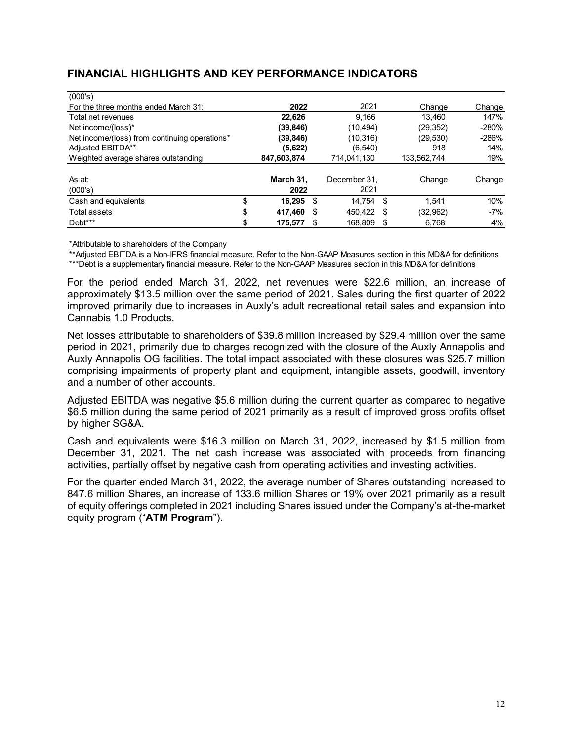# <span id="page-11-0"></span>**FINANCIAL HIGHLIGHTS AND KEY PERFORMANCE INDICATORS**

| (000's)                                       |               |     |              |   |             |         |
|-----------------------------------------------|---------------|-----|--------------|---|-------------|---------|
| For the three months ended March 31:          | 2022          |     | 2021         |   | Change      | Change  |
| Total net revenues                            | 22.626        |     | 9.166        |   | 13.460      | 147%    |
| Net income/(loss)*                            | (39,846)      |     | (10, 494)    |   | (29, 352)   | $-280%$ |
| Net income/(loss) from continuing operations* | (39,846)      |     | (10,316)     |   | (29, 530)   | $-286%$ |
| Adjusted EBITDA**                             | (5,622)       |     | (6, 540)     |   | 918         | 14%     |
| Weighted average shares outstanding           | 847,603,874   |     | 714,041,130  |   | 133,562,744 | 19%     |
|                                               |               |     |              |   |             |         |
| As at:                                        | March 31,     |     | December 31. |   | Change      | Change  |
| (000's)                                       | 2022          |     | 2021         |   |             |         |
| Cash and equivalents                          | \$<br>16.295  | -\$ | 14.754 \$    |   | 1.541       | 10%     |
| Total assets                                  | \$<br>417.460 | S   | 450.422 \$   |   | (32,962)    | $-7\%$  |
| Debt***                                       | \$<br>175.577 | S   | 168.809      | S | 6.768       | 4%      |

\*Attributable to shareholders of the Company

\*\*Adjusted EBITDA is a Non-IFRS financial measure. Refer to the Non-GAAP Measures section in this MD&A for definitions \*\*\*Debt is a supplementary financial measure. Refer to the Non-GAAP Measures section in this MD&A for definitions

For the period ended March 31, 2022, net revenues were \$22.6 million, an increase of approximately \$13.5 million over the same period of 2021. Sales during the first quarter of 2022 improved primarily due to increases in Auxly's adult recreational retail sales and expansion into Cannabis 1.0 Products.

Net losses attributable to shareholders of \$39.8 million increased by \$29.4 million over the same period in 2021, primarily due to charges recognized with the closure of the Auxly Annapolis and Auxly Annapolis OG facilities. The total impact associated with these closures was \$25.7 million comprising impairments of property plant and equipment, intangible assets, goodwill, inventory and a number of other accounts.

Adjusted EBITDA was negative \$5.6 million during the current quarter as compared to negative \$6.5 million during the same period of 2021 primarily as a result of improved gross profits offset by higher SG&A.

Cash and equivalents were \$16.3 million on March 31, 2022, increased by \$1.5 million from December 31, 2021. The net cash increase was associated with proceeds from financing activities, partially offset by negative cash from operating activities and investing activities.

For the quarter ended March 31, 2022, the average number of Shares outstanding increased to 847.6 million Shares, an increase of 133.6 million Shares or 19% over 2021 primarily as a result of equity offerings completed in 2021 including Shares issued under the Company's at-the-market equity program ("**ATM Program**").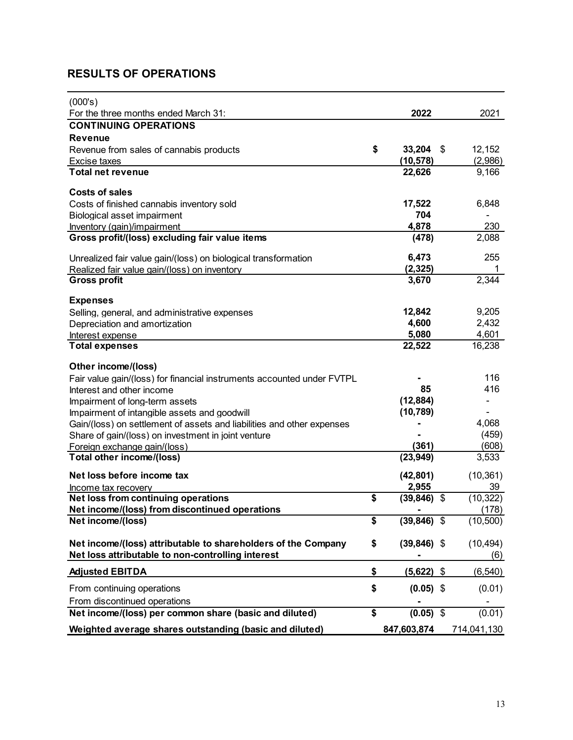# <span id="page-12-0"></span>**RESULTS OF OPERATIONS**

| (000's)                                                                               |                    |     |                    |
|---------------------------------------------------------------------------------------|--------------------|-----|--------------------|
| For the three months ended March 31:                                                  | 2022               |     | 2021               |
| <b>CONTINUING OPERATIONS</b>                                                          |                    |     |                    |
| <b>Revenue</b>                                                                        |                    |     |                    |
| Revenue from sales of cannabis products                                               | \$<br>33,204       | -\$ | 12,152             |
| Excise taxes                                                                          | (10, 578)          |     | (2,986)            |
| <b>Total net revenue</b>                                                              | 22,626             |     | 9,166              |
| <b>Costs of sales</b>                                                                 |                    |     |                    |
| Costs of finished cannabis inventory sold                                             | 17,522             |     | 6,848              |
| Biological asset impairment                                                           | 704                |     |                    |
| Inventory (gain)/impairment                                                           | 4,878              |     | 230                |
| Gross profit/(loss) excluding fair value items                                        | (478)              |     | 2,088              |
|                                                                                       |                    |     |                    |
| Unrealized fair value gain/(loss) on biological transformation                        | 6,473              |     | 255                |
| Realized fair value gain/(loss) on inventory                                          | (2, 325)           |     |                    |
| <b>Gross profit</b>                                                                   | 3,670              |     | 2,344              |
|                                                                                       |                    |     |                    |
| <b>Expenses</b>                                                                       |                    |     |                    |
| Selling, general, and administrative expenses                                         | 12,842             |     | 9,205              |
| Depreciation and amortization                                                         | 4,600              |     | 2,432              |
| Interest expense                                                                      | 5,080              |     | 4,601              |
| <b>Total expenses</b>                                                                 | 22,522             |     | 16,238             |
| Other income/(loss)                                                                   |                    |     |                    |
| Fair value gain/(loss) for financial instruments accounted under FVTPL                |                    |     | 116                |
| Interest and other income                                                             | 85                 |     | 416                |
| Impairment of long-term assets                                                        | (12, 884)          |     |                    |
| Impairment of intangible assets and goodwill                                          | (10, 789)          |     |                    |
| Gain/(loss) on settlement of assets and liabilities and other expenses                |                    |     | 4,068              |
| Share of gain/(loss) on investment in joint venture                                   |                    |     | (459)              |
| Foreign exchange gain/(loss)                                                          | (361)              |     | (608)              |
| Total other income/(loss)                                                             | (23, 949)          |     | 3,533              |
|                                                                                       |                    |     |                    |
| Net loss before income tax                                                            | (42, 801)          |     | (10, 361)          |
| Income tax recovery                                                                   | \$<br>2,955        |     | 39                 |
| Net loss from continuing operations<br>Net income/(loss) from discontinued operations | (39, 846)          | \$  | (10, 322)<br>(178) |
| Net income/(loss)                                                                     | \$<br>(39, 846)    | \$  | (10, 500)          |
|                                                                                       |                    |     |                    |
| Net income/(loss) attributable to shareholders of the Company                         | \$<br>(39, 846)    | \$  | (10, 494)          |
| Net loss attributable to non-controlling interest                                     |                    |     | (6)                |
|                                                                                       |                    |     |                    |
| <b>Adjusted EBITDA</b>                                                                | \$<br>$(5,622)$ \$ |     | (6, 540)           |
| From continuing operations                                                            | \$<br>$(0.05)$ \$  |     | (0.01)             |
| From discontinued operations                                                          |                    |     |                    |
| Net income/(loss) per common share (basic and diluted)                                | \$<br>$(0.05)$ \$  |     | (0.01)             |
| Weighted average shares outstanding (basic and diluted)                               | 847,603,874        |     | 714,041,130        |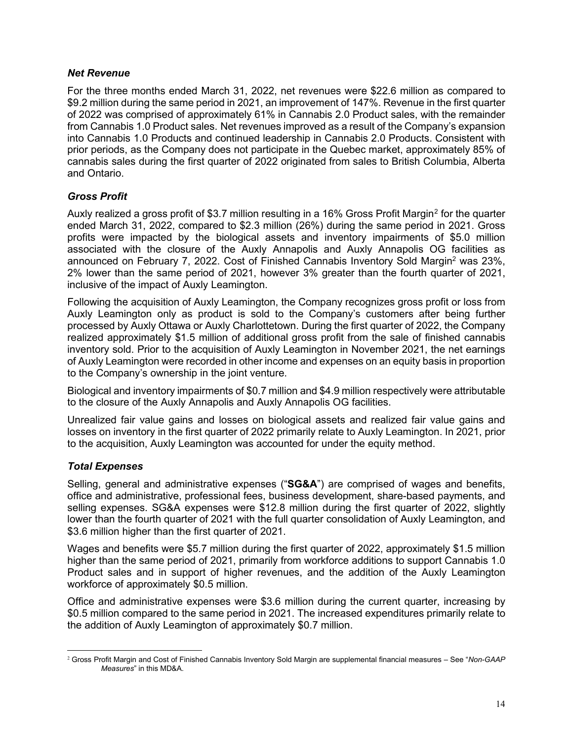# *Net Revenue*

For the three months ended March 31, 2022, net revenues were \$22.6 million as compared to \$9.2 million during the same period in 2021, an improvement of 147%. Revenue in the first quarter of 2022 was comprised of approximately 61% in Cannabis 2.0 Product sales, with the remainder from Cannabis 1.0 Product sales. Net revenues improved as a result of the Company's expansion into Cannabis 1.0 Products and continued leadership in Cannabis 2.0 Products. Consistent with prior periods, as the Company does not participate in the Quebec market, approximately 85% of cannabis sales during the first quarter of 2022 originated from sales to British Columbia, Alberta and Ontario.

# *Gross Profit*

Auxly realized a gross profit of \$3.7 million resulting in a 16% Gross Profit Margin<sup>[2](#page-13-0)</sup> for the quarter ended March 31, 2022, compared to \$2.3 million (26%) during the same period in 2021. Gross profits were impacted by the biological assets and inventory impairments of \$5.0 million associated with the closure of the Auxly Annapolis and Auxly Annapolis OG facilities as announced on February 7, 2022. Cost of Finished Cannabis Inventory Sold Margin<sup>2</sup> was 23%, 2% lower than the same period of 2021, however 3% greater than the fourth quarter of 2021, inclusive of the impact of Auxly Leamington.

Following the acquisition of Auxly Leamington, the Company recognizes gross profit or loss from Auxly Leamington only as product is sold to the Company's customers after being further processed by Auxly Ottawa or Auxly Charlottetown. During the first quarter of 2022, the Company realized approximately \$1.5 million of additional gross profit from the sale of finished cannabis inventory sold. Prior to the acquisition of Auxly Leamington in November 2021, the net earnings of Auxly Leamington were recorded in other income and expenses on an equity basis in proportion to the Company's ownership in the joint venture.

Biological and inventory impairments of \$0.7 million and \$4.9 million respectively were attributable to the closure of the Auxly Annapolis and Auxly Annapolis OG facilities.

Unrealized fair value gains and losses on biological assets and realized fair value gains and losses on inventory in the first quarter of 2022 primarily relate to Auxly Leamington. In 2021, prior to the acquisition, Auxly Leamington was accounted for under the equity method.

# *Total Expenses*

Selling, general and administrative expenses ("**SG&A**") are comprised of wages and benefits, office and administrative, professional fees, business development, share-based payments, and selling expenses. SG&A expenses were \$12.8 million during the first quarter of 2022, slightly lower than the fourth quarter of 2021 with the full quarter consolidation of Auxly Leamington, and \$3.6 million higher than the first quarter of 2021.

Wages and benefits were \$5.7 million during the first quarter of 2022, approximately \$1.5 million higher than the same period of 2021, primarily from workforce additions to support Cannabis 1.0 Product sales and in support of higher revenues, and the addition of the Auxly Leamington workforce of approximately \$0.5 million.

Office and administrative expenses were \$3.6 million during the current quarter, increasing by \$0.5 million compared to the same period in 2021. The increased expenditures primarily relate to the addition of Auxly Leamington of approximately \$0.7 million.

<span id="page-13-0"></span><sup>2</sup> Gross Profit Margin and Cost of Finished Cannabis Inventory Sold Margin are supplemental financial measures – See "*Non-GAAP Measures*" in this MD&A.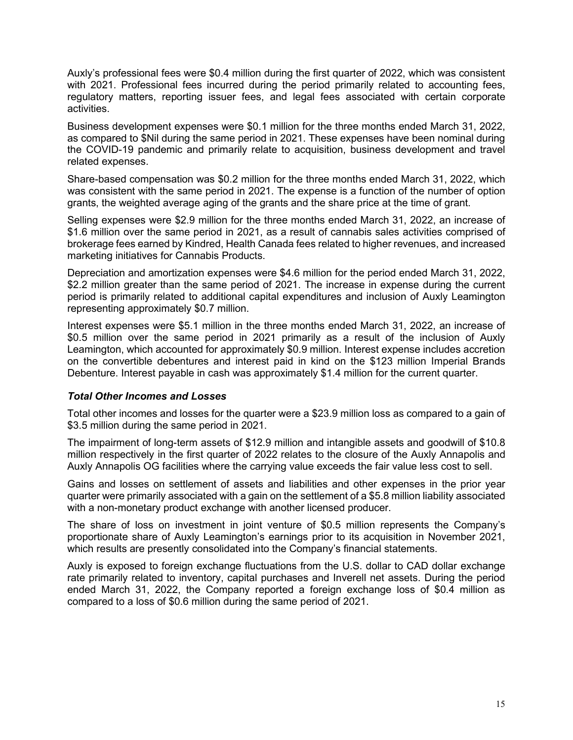Auxly's professional fees were \$0.4 million during the first quarter of 2022, which was consistent with 2021. Professional fees incurred during the period primarily related to accounting fees, regulatory matters, reporting issuer fees, and legal fees associated with certain corporate activities.

Business development expenses were \$0.1 million for the three months ended March 31, 2022, as compared to \$Nil during the same period in 2021. These expenses have been nominal during the COVID-19 pandemic and primarily relate to acquisition, business development and travel related expenses.

Share-based compensation was \$0.2 million for the three months ended March 31, 2022, which was consistent with the same period in 2021. The expense is a function of the number of option grants, the weighted average aging of the grants and the share price at the time of grant.

Selling expenses were \$2.9 million for the three months ended March 31, 2022, an increase of \$1.6 million over the same period in 2021, as a result of cannabis sales activities comprised of brokerage fees earned by Kindred, Health Canada fees related to higher revenues, and increased marketing initiatives for Cannabis Products.

Depreciation and amortization expenses were \$4.6 million for the period ended March 31, 2022, \$2.2 million greater than the same period of 2021. The increase in expense during the current period is primarily related to additional capital expenditures and inclusion of Auxly Leamington representing approximately \$0.7 million.

Interest expenses were \$5.1 million in the three months ended March 31, 2022, an increase of \$0.5 million over the same period in 2021 primarily as a result of the inclusion of Auxly Leamington, which accounted for approximately \$0.9 million. Interest expense includes accretion on the convertible debentures and interest paid in kind on the \$123 million Imperial Brands Debenture. Interest payable in cash was approximately \$1.4 million for the current quarter.

# *Total Other Incomes and Losses*

Total other incomes and losses for the quarter were a \$23.9 million loss as compared to a gain of \$3.5 million during the same period in 2021.

The impairment of long-term assets of \$12.9 million and intangible assets and goodwill of \$10.8 million respectively in the first quarter of 2022 relates to the closure of the Auxly Annapolis and Auxly Annapolis OG facilities where the carrying value exceeds the fair value less cost to sell.

Gains and losses on settlement of assets and liabilities and other expenses in the prior year quarter were primarily associated with a gain on the settlement of a \$5.8 million liability associated with a non-monetary product exchange with another licensed producer.

The share of loss on investment in joint venture of \$0.5 million represents the Company's proportionate share of Auxly Leamington's earnings prior to its acquisition in November 2021, which results are presently consolidated into the Company's financial statements.

Auxly is exposed to foreign exchange fluctuations from the U.S. dollar to CAD dollar exchange rate primarily related to inventory, capital purchases and Inverell net assets. During the period ended March 31, 2022, the Company reported a foreign exchange loss of \$0.4 million as compared to a loss of \$0.6 million during the same period of 2021.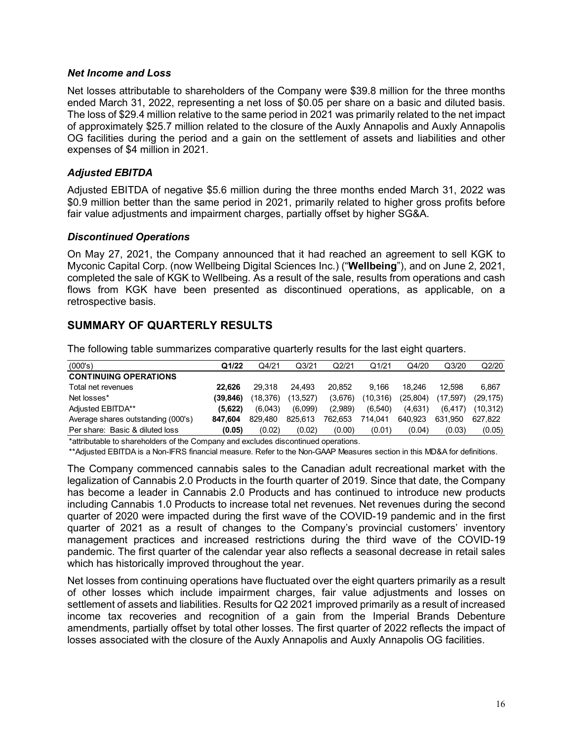#### *Net Income and Loss*

Net losses attributable to shareholders of the Company were \$39.8 million for the three months ended March 31, 2022, representing a net loss of \$0.05 per share on a basic and diluted basis. The loss of \$29.4 million relative to the same period in 2021 was primarily related to the net impact of approximately \$25.7 million related to the closure of the Auxly Annapolis and Auxly Annapolis OG facilities during the period and a gain on the settlement of assets and liabilities and other expenses of \$4 million in 2021.

# *Adjusted EBITDA*

Adjusted EBITDA of negative \$5.6 million during the three months ended March 31, 2022 was \$0.9 million better than the same period in 2021, primarily related to higher gross profits before fair value adjustments and impairment charges, partially offset by higher SG&A.

# *Discontinued Operations*

On May 27, 2021, the Company announced that it had reached an agreement to sell KGK to Myconic Capital Corp. (now Wellbeing Digital Sciences Inc.) ("**Wellbeing**"), and on June 2, 2021, completed the sale of KGK to Wellbeing. As a result of the sale, results from operations and cash flows from KGK have been presented as discontinued operations, as applicable, on a retrospective basis.

# <span id="page-15-0"></span>**SUMMARY OF QUARTERLY RESULTS**

The following table summarizes comparative quarterly results for the last eight quarters.

| (000's)                            | Q1/22     | Q4/21    | Q3/21    | Q2/21   | Q1/21    | Q4/20    | Q3/20    | Q2/20    |
|------------------------------------|-----------|----------|----------|---------|----------|----------|----------|----------|
| <b>CONTINUING OPERATIONS</b>       |           |          |          |         |          |          |          |          |
| Total net revenues                 | 22.626    | 29.318   | 24.493   | 20.852  | 9.166    | 18.246   | 12.598   | 6.867    |
| Net losses*                        | (39, 846) | (18.376) | (13.527) | (3,676) | (10,316) | (25.804) | (17.597) | (29,175) |
| Adjusted EBITDA**                  | (5.622)   | (6.043)  | (6.099)  | (2.989) | (6.540)  | (4.631)  | (6.417)  | (10.312) |
| Average shares outstanding (000's) | 847.604   | 829.480  | 825.613  | 762.653 | 714.041  | 640.923  | 631.950  | 627.822  |
| Per share: Basic & diluted loss    | (0.05)    | (0.02)   | (0.02)   | (0.00)  | (0.01)   | (0.04)   | (0.03)   | (0.05)   |

\*attributable to shareholders of the Company and excludes discontinued operations.

\*\*Adjusted EBITDA is a Non-IFRS financial measure. Refer to the Non-GAAP Measures section in this MD&A for definitions.

The Company commenced cannabis sales to the Canadian adult recreational market with the legalization of Cannabis 2.0 Products in the fourth quarter of 2019. Since that date, the Company has become a leader in Cannabis 2.0 Products and has continued to introduce new products including Cannabis 1.0 Products to increase total net revenues. Net revenues during the second quarter of 2020 were impacted during the first wave of the COVID-19 pandemic and in the first quarter of 2021 as a result of changes to the Company's provincial customers' inventory management practices and increased restrictions during the third wave of the COVID-19 pandemic. The first quarter of the calendar year also reflects a seasonal decrease in retail sales which has historically improved throughout the year.

Net losses from continuing operations have fluctuated over the eight quarters primarily as a result of other losses which include impairment charges, fair value adjustments and losses on settlement of assets and liabilities. Results for Q2 2021 improved primarily as a result of increased income tax recoveries and recognition of a gain from the Imperial Brands Debenture amendments, partially offset by total other losses. The first quarter of 2022 reflects the impact of losses associated with the closure of the Auxly Annapolis and Auxly Annapolis OG facilities.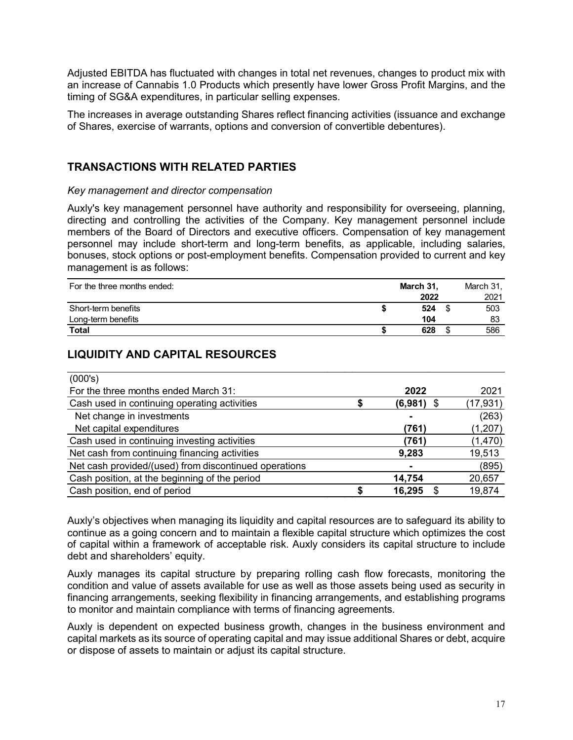Adjusted EBITDA has fluctuated with changes in total net revenues, changes to product mix with an increase of Cannabis 1.0 Products which presently have lower Gross Profit Margins, and the timing of SG&A expenditures, in particular selling expenses.

The increases in average outstanding Shares reflect financing activities (issuance and exchange of Shares, exercise of warrants, options and conversion of convertible debentures).

# <span id="page-16-0"></span>**TRANSACTIONS WITH RELATED PARTIES**

#### *Key management and director compensation*

Auxly's key management personnel have authority and responsibility for overseeing, planning, directing and controlling the activities of the Company. Key management personnel include members of the Board of Directors and executive officers. Compensation of key management personnel may include short-term and long-term benefits, as applicable, including salaries, bonuses, stock options or post-employment benefits. Compensation provided to current and key management is as follows:

| For the three months ended: | March 31, | March 31, |
|-----------------------------|-----------|-----------|
|                             | 2022      | 2021      |
| Short-term benefits         | 524       | 503       |
| Long-term benefits          | 104       | 83        |
| <b>Total</b>                | 628       | 586       |

# <span id="page-16-1"></span>**LIQUIDITY AND CAPITAL RESOURCES**

| (000's)                                               |   |              |           |
|-------------------------------------------------------|---|--------------|-----------|
| For the three months ended March 31:                  |   | 2022         | 2021      |
| Cash used in continuing operating activities          |   | $(6,981)$ \$ | (17, 931) |
| Net change in investments                             |   |              | (263)     |
| Net capital expenditures                              |   | (761)        | (1, 207)  |
| Cash used in continuing investing activities          |   | (761)        | (1,470)   |
| Net cash from continuing financing activities         |   | 9,283        | 19,513    |
| Net cash provided/(used) from discontinued operations |   | ۰            | (895)     |
| Cash position, at the beginning of the period         |   | 14,754       | 20,657    |
| Cash position, end of period                          | œ | 16,295       | 19,874    |

Auxly's objectives when managing its liquidity and capital resources are to safeguard its ability to continue as a going concern and to maintain a flexible capital structure which optimizes the cost of capital within a framework of acceptable risk. Auxly considers its capital structure to include debt and shareholders' equity.

Auxly manages its capital structure by preparing rolling cash flow forecasts, monitoring the condition and value of assets available for use as well as those assets being used as security in financing arrangements, seeking flexibility in financing arrangements, and establishing programs to monitor and maintain compliance with terms of financing agreements.

Auxly is dependent on expected business growth, changes in the business environment and capital markets as its source of operating capital and may issue additional Shares or debt, acquire or dispose of assets to maintain or adjust its capital structure.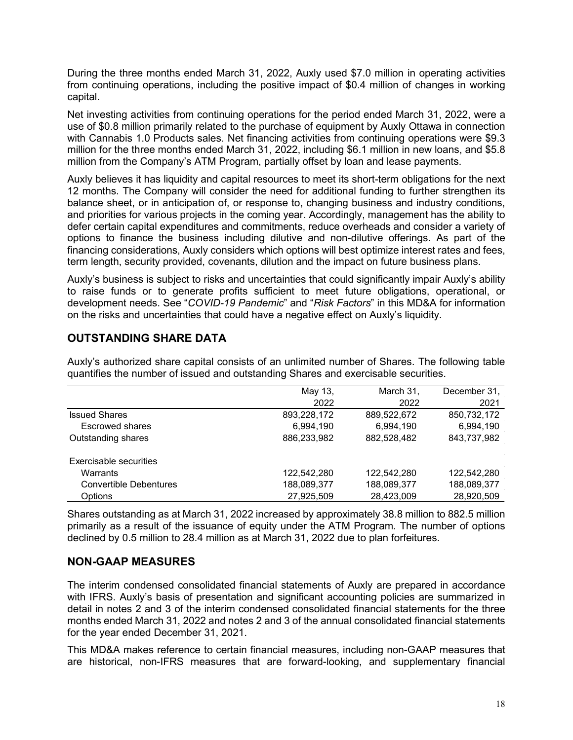During the three months ended March 31, 2022, Auxly used \$7.0 million in operating activities from continuing operations, including the positive impact of \$0.4 million of changes in working capital.

Net investing activities from continuing operations for the period ended March 31, 2022, were a use of \$0.8 million primarily related to the purchase of equipment by Auxly Ottawa in connection with Cannabis 1.0 Products sales. Net financing activities from continuing operations were \$9.3 million for the three months ended March 31, 2022, including \$6.1 million in new loans, and \$5.8 million from the Company's ATM Program, partially offset by loan and lease payments.

Auxly believes it has liquidity and capital resources to meet its short-term obligations for the next 12 months. The Company will consider the need for additional funding to further strengthen its balance sheet, or in anticipation of, or response to, changing business and industry conditions, and priorities for various projects in the coming year. Accordingly, management has the ability to defer certain capital expenditures and commitments, reduce overheads and consider a variety of options to finance the business including dilutive and non-dilutive offerings. As part of the financing considerations, Auxly considers which options will best optimize interest rates and fees, term length, security provided, covenants, dilution and the impact on future business plans.

Auxly's business is subject to risks and uncertainties that could significantly impair Auxly's ability to raise funds or to generate profits sufficient to meet future obligations, operational, or development needs. See "*COVID-19 Pandemic*" and "*Risk Factors*" in this MD&A for information on the risks and uncertainties that could have a negative effect on Auxly's liquidity.

# <span id="page-17-0"></span>**OUTSTANDING SHARE DATA**

Auxly's authorized share capital consists of an unlimited number of Shares. The following table quantifies the number of issued and outstanding Shares and exercisable securities.

|                               | May 13,     | March 31,   | December 31, |
|-------------------------------|-------------|-------------|--------------|
|                               | 2022        | 2022        | 2021         |
| <b>Issued Shares</b>          | 893,228,172 | 889,522,672 | 850,732,172  |
| Escrowed shares               | 6,994,190   | 6,994,190   | 6,994,190    |
| Outstanding shares            | 886,233,982 | 882,528,482 | 843,737,982  |
| Exercisable securities        |             |             |              |
| Warrants                      | 122,542,280 | 122,542,280 | 122,542,280  |
| <b>Convertible Debentures</b> | 188,089,377 | 188,089,377 | 188,089,377  |
| Options                       | 27,925,509  | 28,423,009  | 28,920,509   |

Shares outstanding as at March 31, 2022 increased by approximately 38.8 million to 882.5 million primarily as a result of the issuance of equity under the ATM Program. The number of options declined by 0.5 million to 28.4 million as at March 31, 2022 due to plan forfeitures.

# <span id="page-17-1"></span>**NON-GAAP MEASURES**

The interim condensed consolidated financial statements of Auxly are prepared in accordance with IFRS. Auxly's basis of presentation and significant accounting policies are summarized in detail in notes 2 and 3 of the interim condensed consolidated financial statements for the three months ended March 31, 2022 and notes 2 and 3 of the annual consolidated financial statements for the year ended December 31, 2021.

This MD&A makes reference to certain financial measures, including non-GAAP measures that are historical, non-IFRS measures that are forward-looking, and supplementary financial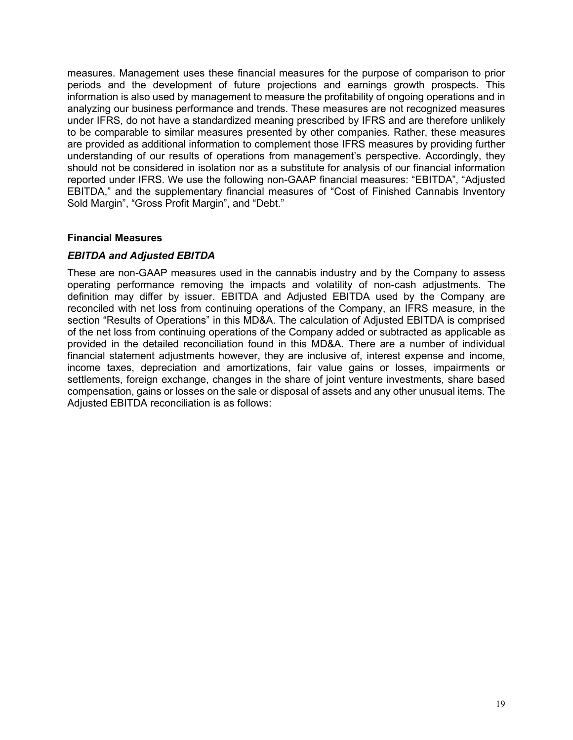measures. Management uses these financial measures for the purpose of comparison to prior periods and the development of future projections and earnings growth prospects. This information is also used by management to measure the profitability of ongoing operations and in analyzing our business performance and trends. These measures are not recognized measures under IFRS, do not have a standardized meaning prescribed by IFRS and are therefore unlikely to be comparable to similar measures presented by other companies. Rather, these measures are provided as additional information to complement those IFRS measures by providing further understanding of our results of operations from management's perspective. Accordingly, they should not be considered in isolation nor as a substitute for analysis of our financial information reported under IFRS. We use the following non-GAAP financial measures: "EBITDA", "Adjusted EBITDA," and the supplementary financial measures of "Cost of Finished Cannabis Inventory Sold Margin", "Gross Profit Margin", and "Debt."

# **Financial Measures**

# *EBITDA and Adjusted EBITDA*

These are non-GAAP measures used in the cannabis industry and by the Company to assess operating performance removing the impacts and volatility of non-cash adjustments. The definition may differ by issuer. EBITDA and Adjusted EBITDA used by the Company are reconciled with net loss from continuing operations of the Company, an IFRS measure, in the section "Results of Operations" in this MD&A. The calculation of Adjusted EBITDA is comprised of the net loss from continuing operations of the Company added or subtracted as applicable as provided in the detailed reconciliation found in this MD&A. There are a number of individual financial statement adjustments however, they are inclusive of, interest expense and income, income taxes, depreciation and amortizations, fair value gains or losses, impairments or settlements, foreign exchange, changes in the share of joint venture investments, share based compensation, gains or losses on the sale or disposal of assets and any other unusual items. The Adjusted EBITDA reconciliation is as follows: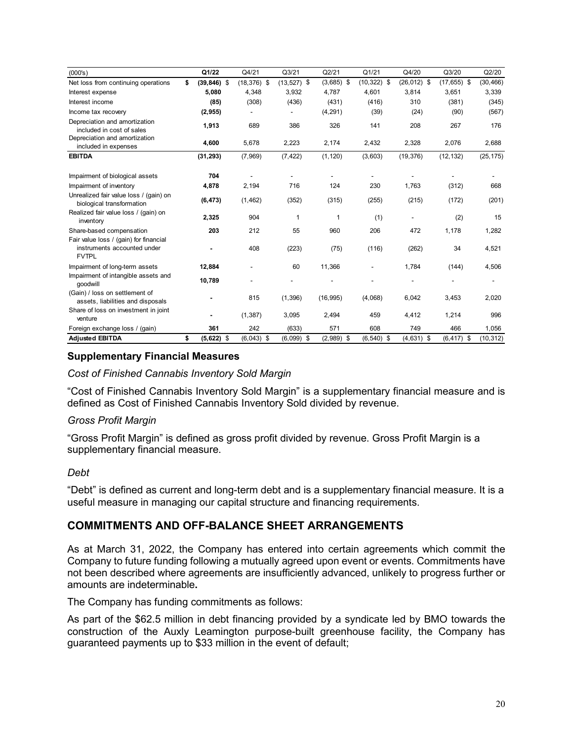| (000's)                                                                               | Q1/22                | Q4/21          | Q3/21         | Q2/21        | Q1/21          | Q4/20          | Q3/20          | Q2/20     |
|---------------------------------------------------------------------------------------|----------------------|----------------|---------------|--------------|----------------|----------------|----------------|-----------|
| Net loss from continuing operations                                                   | \$<br>$(39, 846)$ \$ | $(18, 376)$ \$ | $(13,527)$ \$ | $(3,685)$ \$ | $(10, 322)$ \$ | $(26, 012)$ \$ | $(17, 655)$ \$ | (30, 466) |
| Interest expense                                                                      | 5.080                | 4,348          | 3,932         | 4,787        | 4.601          | 3,814          | 3,651          | 3,339     |
| Interest income                                                                       | (85)                 | (308)          | (436)         | (431)        | (416)          | 310            | (381)          | (345)     |
| Income tax recovery                                                                   | (2, 955)             |                |               | (4, 291)     | (39)           | (24)           | (90)           | (567)     |
| Depreciation and amortization<br>included in cost of sales                            | 1,913                | 689            | 386           | 326          | 141            | 208            | 267            | 176       |
| Depreciation and amortization<br>included in expenses                                 | 4,600                | 5,678          | 2,223         | 2,174        | 2,432          | 2,328          | 2,076          | 2,688     |
| <b>EBITDA</b>                                                                         | (31, 293)            | (7,969)        | (7, 422)      | (1, 120)     | (3,603)        | (19, 376)      | (12, 132)      | (25, 175) |
| Impairment of biological assets                                                       | 704                  |                |               |              |                |                |                |           |
| Impairment of inventory                                                               | 4,878                | 2,194          | 716           | 124          | 230            | 1,763          | (312)          | 668       |
| Unrealized fair value loss / (gain) on<br>biological transformation                   | (6, 473)             | (1, 462)       | (352)         | (315)        | (255)          | (215)          | (172)          | (201)     |
| Realized fair value loss / (gain) on<br>inventory                                     | 2.325                | 904            | 1             | 1            | (1)            |                | (2)            | 15        |
| Share-based compensation                                                              | 203                  | 212            | 55            | 960          | 206            | 472            | 1,178          | 1,282     |
| Fair value loss / (gain) for financial<br>instruments accounted under<br><b>FVTPL</b> |                      | 408            | (223)         | (75)         | (116)          | (262)          | 34             | 4,521     |
| Impairment of long-term assets                                                        | 12,884               |                | 60            | 11,366       |                | 1,784          | (144)          | 4,506     |
| Impairment of intangible assets and<br>qoodwill                                       | 10,789               |                |               |              |                |                |                |           |
| (Gain) / loss on settlement of<br>assets, liabilities and disposals                   |                      | 815            | (1, 396)      | (16, 995)    | (4,068)        | 6.042          | 3,453          | 2,020     |
| Share of loss on investment in joint<br>venture                                       |                      | (1, 387)       | 3,095         | 2,494        | 459            | 4,412          | 1,214          | 996       |
| Foreign exchange loss / (gain)                                                        | 361                  | 242            | (633)         | 571          | 608            | 749            | 466            | 1,056     |
| <b>Adjusted EBITDA</b>                                                                | \$<br>(5,622)<br>\$  | $(6,043)$ \$   | $(6,099)$ \$  | $(2,989)$ \$ | $(6,540)$ \$   | $(4,631)$ \$   | $(6, 417)$ \$  | (10, 312) |

# **Supplementary Financial Measures**

*Cost of Finished Cannabis Inventory Sold Margin*

"Cost of Finished Cannabis Inventory Sold Margin" is a supplementary financial measure and is defined as Cost of Finished Cannabis Inventory Sold divided by revenue.

#### *Gross Profit Margin*

"Gross Profit Margin" is defined as gross profit divided by revenue. Gross Profit Margin is a supplementary financial measure.

#### *Debt*

"Debt" is defined as current and long-term debt and is a supplementary financial measure. It is a useful measure in managing our capital structure and financing requirements.

# <span id="page-19-0"></span>**COMMITMENTS AND OFF-BALANCE SHEET ARRANGEMENTS**

As at March 31, 2022, the Company has entered into certain agreements which commit the Company to future funding following a mutually agreed upon event or events. Commitments have not been described where agreements are insufficiently advanced, unlikely to progress further or amounts are indeterminable**.** 

The Company has funding commitments as follows:

As part of the \$62.5 million in debt financing provided by a syndicate led by BMO towards the construction of the Auxly Leamington purpose-built greenhouse facility, the Company has guaranteed payments up to \$33 million in the event of default;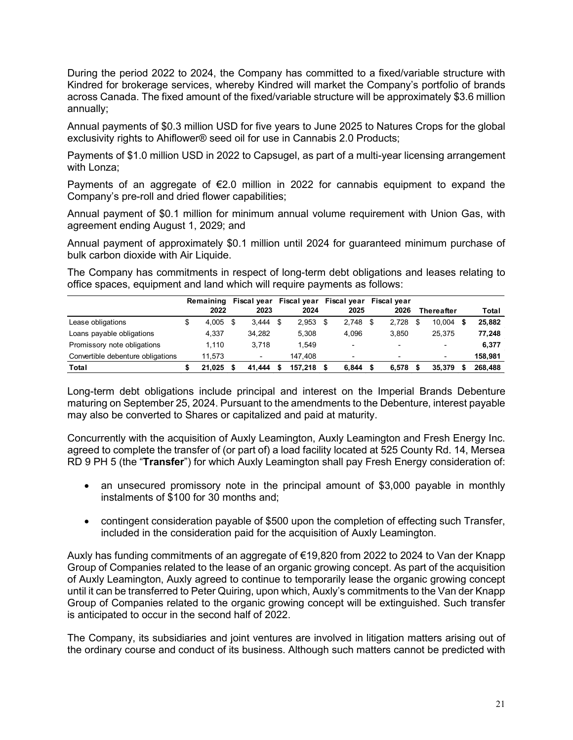During the period 2022 to 2024, the Company has committed to a fixed/variable structure with Kindred for brokerage services, whereby Kindred will market the Company's portfolio of brands across Canada. The fixed amount of the fixed/variable structure will be approximately \$3.6 million annually;

Annual payments of \$0.3 million USD for five years to June 2025 to Natures Crops for the global exclusivity rights to Ahiflower® seed oil for use in Cannabis 2.0 Products;

Payments of \$1.0 million USD in 2022 to Capsugel, as part of a multi-year licensing arrangement with Lonza;

Payments of an aggregate of €2.0 million in 2022 for cannabis equipment to expand the Company's pre-roll and dried flower capabilities;

Annual payment of \$0.1 million for minimum annual volume requirement with Union Gas, with agreement ending August 1, 2029; and

Annual payment of approximately \$0.1 million until 2024 for guaranteed minimum purchase of bulk carbon dioxide with Air Liquide.

The Company has commitments in respect of long-term debt obligations and leases relating to office spaces, equipment and land which will require payments as follows:

|                                   | Remaining   | Fiscal year              |    |         | Fiscal year Fiscal year Fiscal year |                          |                          |         |
|-----------------------------------|-------------|--------------------------|----|---------|-------------------------------------|--------------------------|--------------------------|---------|
|                                   | 2022        | 2023                     |    | 2024    | 2025                                | 2026                     | Thereafter               | Total   |
| Lease obligations                 | \$<br>4.005 | 3.444                    | \$ | 2.953   | $2.748$ \$                          | 2.728                    | 10.004                   | 25.882  |
| Loans payable obligations         | 4.337       | 34.282                   |    | 5.308   | 4.096                               | 3.850                    | 25.375                   | 77,248  |
| Promissory note obligations       | 1.110       | 3.718                    |    | 1.549   | $\overline{\phantom{0}}$            | $\blacksquare$           | $\overline{\phantom{0}}$ | 6.377   |
| Convertible debenture obligations | 11.573      | $\overline{\phantom{0}}$ |    | 147.408 | $\overline{\phantom{0}}$            | $\overline{\phantom{0}}$ | $\blacksquare$           | 158.981 |
| Total                             | 21.025      | 41.444                   | S  | 157.218 | 6.844                               | 6.578                    | 35.379                   | 268,488 |

Long-term debt obligations include principal and interest on the Imperial Brands Debenture maturing on September 25, 2024. Pursuant to the amendments to the Debenture, interest payable may also be converted to Shares or capitalized and paid at maturity.

Concurrently with the acquisition of Auxly Leamington, Auxly Leamington and Fresh Energy Inc. agreed to complete the transfer of (or part of) a load facility located at 525 County Rd. 14, Mersea RD 9 PH 5 (the "**Transfer**") for which Auxly Leamington shall pay Fresh Energy consideration of:

- an unsecured promissory note in the principal amount of \$3,000 payable in monthly instalments of \$100 for 30 months and;
- contingent consideration payable of \$500 upon the completion of effecting such Transfer, included in the consideration paid for the acquisition of Auxly Leamington.

Auxly has funding commitments of an aggregate of €19,820 from 2022 to 2024 to Van der Knapp Group of Companies related to the lease of an organic growing concept. As part of the acquisition of Auxly Leamington, Auxly agreed to continue to temporarily lease the organic growing concept until it can be transferred to Peter Quiring, upon which, Auxly's commitments to the Van der Knapp Group of Companies related to the organic growing concept will be extinguished. Such transfer is anticipated to occur in the second half of 2022.

The Company, its subsidiaries and joint ventures are involved in litigation matters arising out of the ordinary course and conduct of its business. Although such matters cannot be predicted with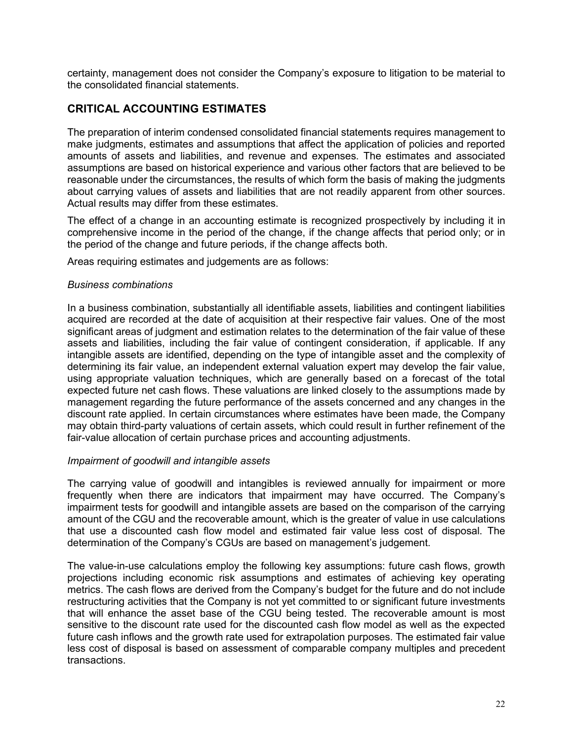certainty, management does not consider the Company's exposure to litigation to be material to the consolidated financial statements.

# <span id="page-21-0"></span>**CRITICAL ACCOUNTING ESTIMATES**

The preparation of interim condensed consolidated financial statements requires management to make judgments, estimates and assumptions that affect the application of policies and reported amounts of assets and liabilities, and revenue and expenses. The estimates and associated assumptions are based on historical experience and various other factors that are believed to be reasonable under the circumstances, the results of which form the basis of making the judgments about carrying values of assets and liabilities that are not readily apparent from other sources. Actual results may differ from these estimates.

The effect of a change in an accounting estimate is recognized prospectively by including it in comprehensive income in the period of the change, if the change affects that period only; or in the period of the change and future periods, if the change affects both.

Areas requiring estimates and judgements are as follows:

#### *Business combinations*

In a business combination, substantially all identifiable assets, liabilities and contingent liabilities acquired are recorded at the date of acquisition at their respective fair values. One of the most significant areas of judgment and estimation relates to the determination of the fair value of these assets and liabilities, including the fair value of contingent consideration, if applicable. If any intangible assets are identified, depending on the type of intangible asset and the complexity of determining its fair value, an independent external valuation expert may develop the fair value, using appropriate valuation techniques, which are generally based on a forecast of the total expected future net cash flows. These valuations are linked closely to the assumptions made by management regarding the future performance of the assets concerned and any changes in the discount rate applied. In certain circumstances where estimates have been made, the Company may obtain third-party valuations of certain assets, which could result in further refinement of the fair-value allocation of certain purchase prices and accounting adjustments.

# *Impairment of goodwill and intangible assets*

The carrying value of goodwill and intangibles is reviewed annually for impairment or more frequently when there are indicators that impairment may have occurred. The Company's impairment tests for goodwill and intangible assets are based on the comparison of the carrying amount of the CGU and the recoverable amount, which is the greater of value in use calculations that use a discounted cash flow model and estimated fair value less cost of disposal. The determination of the Company's CGUs are based on management's judgement.

The value-in-use calculations employ the following key assumptions: future cash flows, growth projections including economic risk assumptions and estimates of achieving key operating metrics. The cash flows are derived from the Company's budget for the future and do not include restructuring activities that the Company is not yet committed to or significant future investments that will enhance the asset base of the CGU being tested. The recoverable amount is most sensitive to the discount rate used for the discounted cash flow model as well as the expected future cash inflows and the growth rate used for extrapolation purposes. The estimated fair value less cost of disposal is based on assessment of comparable company multiples and precedent transactions.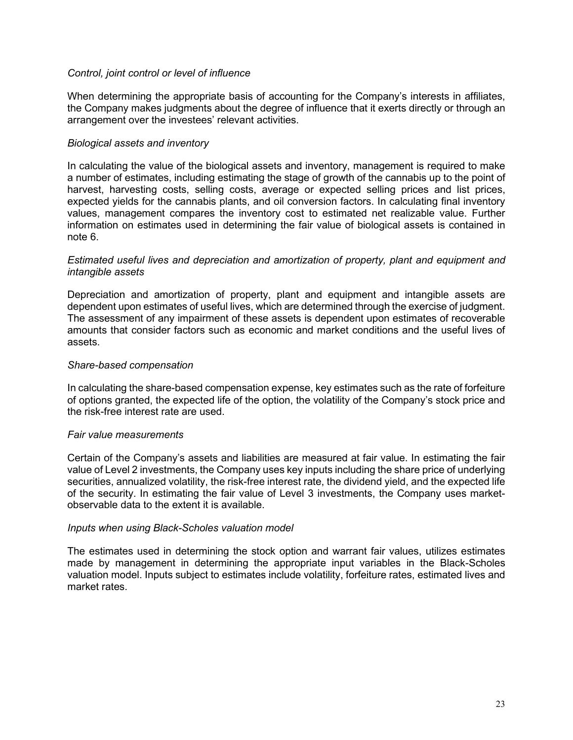#### *Control, joint control or level of influence*

When determining the appropriate basis of accounting for the Company's interests in affiliates, the Company makes judgments about the degree of influence that it exerts directly or through an arrangement over the investees' relevant activities.

#### *Biological assets and inventory*

In calculating the value of the biological assets and inventory, management is required to make a number of estimates, including estimating the stage of growth of the cannabis up to the point of harvest, harvesting costs, selling costs, average or expected selling prices and list prices, expected yields for the cannabis plants, and oil conversion factors. In calculating final inventory values, management compares the inventory cost to estimated net realizable value. Further information on estimates used in determining the fair value of biological assets is contained in note 6.

#### *Estimated useful lives and depreciation and amortization of property, plant and equipment and intangible assets*

Depreciation and amortization of property, plant and equipment and intangible assets are dependent upon estimates of useful lives, which are determined through the exercise of judgment. The assessment of any impairment of these assets is dependent upon estimates of recoverable amounts that consider factors such as economic and market conditions and the useful lives of assets.

#### *Share-based compensation*

In calculating the share-based compensation expense, key estimates such as the rate of forfeiture of options granted, the expected life of the option, the volatility of the Company's stock price and the risk-free interest rate are used.

#### *Fair value measurements*

Certain of the Company's assets and liabilities are measured at fair value. In estimating the fair value of Level 2 investments, the Company uses key inputs including the share price of underlying securities, annualized volatility, the risk-free interest rate, the dividend yield, and the expected life of the security. In estimating the fair value of Level 3 investments, the Company uses marketobservable data to the extent it is available.

#### *Inputs when using Black-Scholes valuation model*

The estimates used in determining the stock option and warrant fair values, utilizes estimates made by management in determining the appropriate input variables in the Black-Scholes valuation model. Inputs subject to estimates include volatility, forfeiture rates, estimated lives and market rates.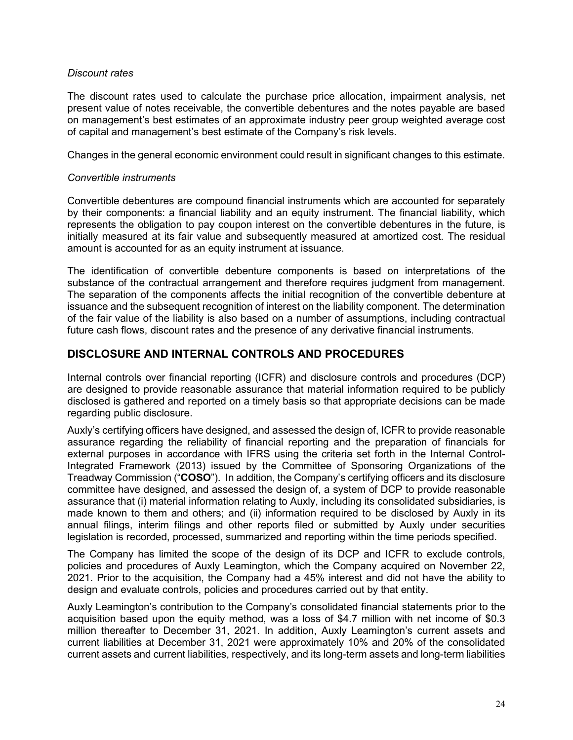#### *Discount rates*

The discount rates used to calculate the purchase price allocation, impairment analysis, net present value of notes receivable, the convertible debentures and the notes payable are based on management's best estimates of an approximate industry peer group weighted average cost of capital and management's best estimate of the Company's risk levels.

Changes in the general economic environment could result in significant changes to this estimate.

#### *Convertible instruments*

Convertible debentures are compound financial instruments which are accounted for separately by their components: a financial liability and an equity instrument. The financial liability, which represents the obligation to pay coupon interest on the convertible debentures in the future, is initially measured at its fair value and subsequently measured at amortized cost. The residual amount is accounted for as an equity instrument at issuance.

The identification of convertible debenture components is based on interpretations of the substance of the contractual arrangement and therefore requires judgment from management. The separation of the components affects the initial recognition of the convertible debenture at issuance and the subsequent recognition of interest on the liability component. The determination of the fair value of the liability is also based on a number of assumptions, including contractual future cash flows, discount rates and the presence of any derivative financial instruments.

# <span id="page-23-0"></span>**DISCLOSURE AND INTERNAL CONTROLS AND PROCEDURES**

Internal controls over financial reporting (ICFR) and disclosure controls and procedures (DCP) are designed to provide reasonable assurance that material information required to be publicly disclosed is gathered and reported on a timely basis so that appropriate decisions can be made regarding public disclosure.

Auxly's certifying officers have designed, and assessed the design of, ICFR to provide reasonable assurance regarding the reliability of financial reporting and the preparation of financials for external purposes in accordance with IFRS using the criteria set forth in the Internal Control-Integrated Framework (2013) issued by the Committee of Sponsoring Organizations of the Treadway Commission ("**COSO**"). In addition, the Company's certifying officers and its disclosure committee have designed, and assessed the design of, a system of DCP to provide reasonable assurance that (i) material information relating to Auxly, including its consolidated subsidiaries, is made known to them and others; and (ii) information required to be disclosed by Auxly in its annual filings, interim filings and other reports filed or submitted by Auxly under securities legislation is recorded, processed, summarized and reporting within the time periods specified.

The Company has limited the scope of the design of its DCP and ICFR to exclude controls, policies and procedures of Auxly Leamington, which the Company acquired on November 22, 2021. Prior to the acquisition, the Company had a 45% interest and did not have the ability to design and evaluate controls, policies and procedures carried out by that entity.

Auxly Leamington's contribution to the Company's consolidated financial statements prior to the acquisition based upon the equity method, was a loss of \$4.7 million with net income of \$0.3 million thereafter to December 31, 2021. In addition, Auxly Leamington's current assets and current liabilities at December 31, 2021 were approximately 10% and 20% of the consolidated current assets and current liabilities, respectively, and its long-term assets and long-term liabilities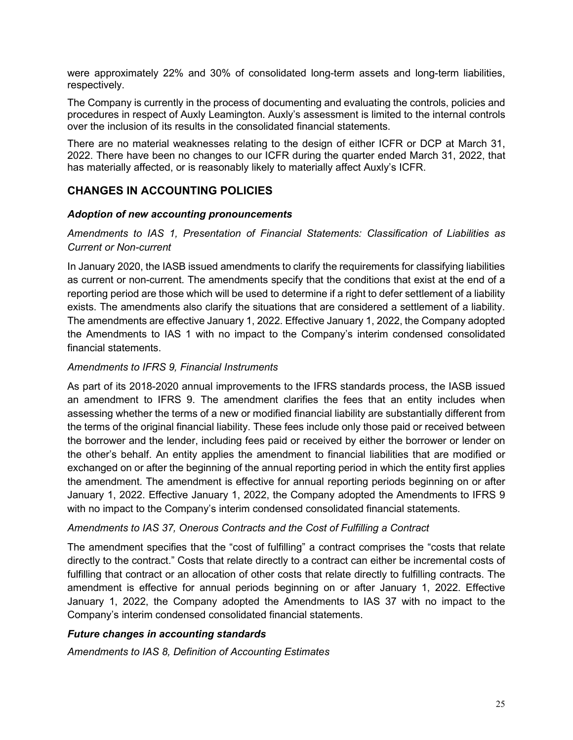were approximately 22% and 30% of consolidated long-term assets and long-term liabilities, respectively.

The Company is currently in the process of documenting and evaluating the controls, policies and procedures in respect of Auxly Leamington. Auxly's assessment is limited to the internal controls over the inclusion of its results in the consolidated financial statements.

There are no material weaknesses relating to the design of either ICFR or DCP at March 31, 2022. There have been no changes to our ICFR during the quarter ended March 31, 2022, that has materially affected, or is reasonably likely to materially affect Auxly's ICFR.

# <span id="page-24-0"></span>**CHANGES IN ACCOUNTING POLICIES**

# *Adoption of new accounting pronouncements*

# *Amendments to IAS 1, Presentation of Financial Statements: Classification of Liabilities as Current or Non-current*

In January 2020, the IASB issued amendments to clarify the requirements for classifying liabilities as current or non-current. The amendments specify that the conditions that exist at the end of a reporting period are those which will be used to determine if a right to defer settlement of a liability exists. The amendments also clarify the situations that are considered a settlement of a liability. The amendments are effective January 1, 2022. Effective January 1, 2022, the Company adopted the Amendments to IAS 1 with no impact to the Company's interim condensed consolidated financial statements.

#### *Amendments to IFRS 9, Financial Instruments*

As part of its 2018-2020 annual improvements to the IFRS standards process, the IASB issued an amendment to IFRS 9. The amendment clarifies the fees that an entity includes when assessing whether the terms of a new or modified financial liability are substantially different from the terms of the original financial liability. These fees include only those paid or received between the borrower and the lender, including fees paid or received by either the borrower or lender on the other's behalf. An entity applies the amendment to financial liabilities that are modified or exchanged on or after the beginning of the annual reporting period in which the entity first applies the amendment. The amendment is effective for annual reporting periods beginning on or after January 1, 2022. Effective January 1, 2022, the Company adopted the Amendments to IFRS 9 with no impact to the Company's interim condensed consolidated financial statements.

# *Amendments to IAS 37, Onerous Contracts and the Cost of Fulfilling a Contract*

The amendment specifies that the "cost of fulfilling" a contract comprises the "costs that relate directly to the contract." Costs that relate directly to a contract can either be incremental costs of fulfilling that contract or an allocation of other costs that relate directly to fulfilling contracts. The amendment is effective for annual periods beginning on or after January 1, 2022. Effective January 1, 2022, the Company adopted the Amendments to IAS 37 with no impact to the Company's interim condensed consolidated financial statements.

# *Future changes in accounting standards*

*Amendments to IAS 8, Definition of Accounting Estimates*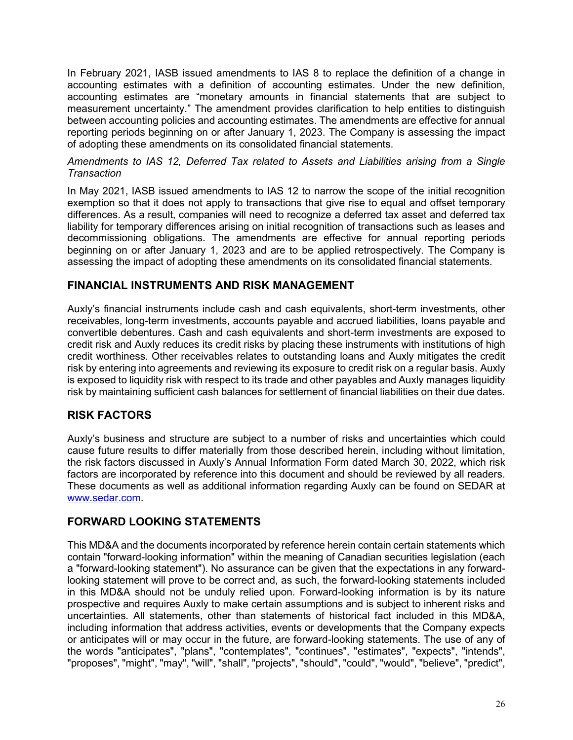In February 2021, IASB issued amendments to IAS 8 to replace the definition of a change in accounting estimates with a definition of accounting estimates. Under the new definition, accounting estimates are "monetary amounts in financial statements that are subject to measurement uncertainty." The amendment provides clarification to help entities to distinguish between accounting policies and accounting estimates. The amendments are effective for annual reporting periods beginning on or after January 1, 2023. The Company is assessing the impact of adopting these amendments on its consolidated financial statements.

#### *Amendments to IAS 12, Deferred Tax related to Assets and Liabilities arising from a Single Transaction*

In May 2021, IASB issued amendments to IAS 12 to narrow the scope of the initial recognition exemption so that it does not apply to transactions that give rise to equal and offset temporary differences. As a result, companies will need to recognize a deferred tax asset and deferred tax liability for temporary differences arising on initial recognition of transactions such as leases and decommissioning obligations. The amendments are effective for annual reporting periods beginning on or after January 1, 2023 and are to be applied retrospectively. The Company is assessing the impact of adopting these amendments on its consolidated financial statements.

# <span id="page-25-0"></span>**FINANCIAL INSTRUMENTS AND RISK MANAGEMENT**

Auxly's financial instruments include cash and cash equivalents, short-term investments, other receivables, long-term investments, accounts payable and accrued liabilities, loans payable and convertible debentures. Cash and cash equivalents and short-term investments are exposed to credit risk and Auxly reduces its credit risks by placing these instruments with institutions of high credit worthiness. Other receivables relates to outstanding loans and Auxly mitigates the credit risk by entering into agreements and reviewing its exposure to credit risk on a regular basis. Auxly is exposed to liquidity risk with respect to its trade and other payables and Auxly manages liquidity risk by maintaining sufficient cash balances for settlement of financial liabilities on their due dates.

# <span id="page-25-1"></span>**RISK FACTORS**

Auxly's business and structure are subject to a number of risks and uncertainties which could cause future results to differ materially from those described herein, including without limitation, the risk factors discussed in Auxly's Annual Information Form dated March 30, 2022, which risk factors are incorporated by reference into this document and should be reviewed by all readers. These documents as well as additional information regarding Auxly can be found on SEDAR at [www.sedar.com.](http://www.sedar.com/)

# <span id="page-25-2"></span>**FORWARD LOOKING STATEMENTS**

This MD&A and the documents incorporated by reference herein contain certain statements which contain "forward-looking information" within the meaning of Canadian securities legislation (each a "forward-looking statement"). No assurance can be given that the expectations in any forwardlooking statement will prove to be correct and, as such, the forward-looking statements included in this MD&A should not be unduly relied upon. Forward-looking information is by its nature prospective and requires Auxly to make certain assumptions and is subject to inherent risks and uncertainties. All statements, other than statements of historical fact included in this MD&A, including information that address activities, events or developments that the Company expects or anticipates will or may occur in the future, are forward-looking statements. The use of any of the words "anticipates", "plans", "contemplates", "continues", "estimates", "expects", "intends", "proposes", "might", "may", "will", "shall", "projects", "should", "could", "would", "believe", "predict",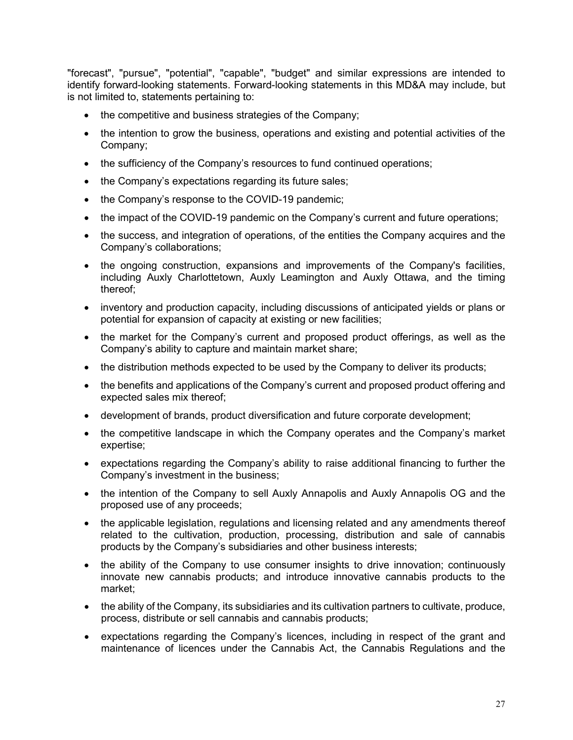"forecast", "pursue", "potential", "capable", "budget" and similar expressions are intended to identify forward-looking statements. Forward-looking statements in this MD&A may include, but is not limited to, statements pertaining to:

- the competitive and business strategies of the Company;
- the intention to grow the business, operations and existing and potential activities of the Company;
- the sufficiency of the Company's resources to fund continued operations;
- the Company's expectations regarding its future sales;
- the Company's response to the COVID-19 pandemic;
- the impact of the COVID-19 pandemic on the Company's current and future operations;
- the success, and integration of operations, of the entities the Company acquires and the Company's collaborations;
- the ongoing construction, expansions and improvements of the Company's facilities, including Auxly Charlottetown, Auxly Leamington and Auxly Ottawa, and the timing thereof;
- inventory and production capacity, including discussions of anticipated yields or plans or potential for expansion of capacity at existing or new facilities;
- the market for the Company's current and proposed product offerings, as well as the Company's ability to capture and maintain market share;
- the distribution methods expected to be used by the Company to deliver its products;
- the benefits and applications of the Company's current and proposed product offering and expected sales mix thereof;
- development of brands, product diversification and future corporate development;
- the competitive landscape in which the Company operates and the Company's market expertise;
- expectations regarding the Company's ability to raise additional financing to further the Company's investment in the business;
- the intention of the Company to sell Auxly Annapolis and Auxly Annapolis OG and the proposed use of any proceeds;
- the applicable legislation, regulations and licensing related and any amendments thereof related to the cultivation, production, processing, distribution and sale of cannabis products by the Company's subsidiaries and other business interests;
- the ability of the Company to use consumer insights to drive innovation; continuously innovate new cannabis products; and introduce innovative cannabis products to the market;
- the ability of the Company, its subsidiaries and its cultivation partners to cultivate, produce, process, distribute or sell cannabis and cannabis products;
- expectations regarding the Company's licences, including in respect of the grant and maintenance of licences under the Cannabis Act, the Cannabis Regulations and the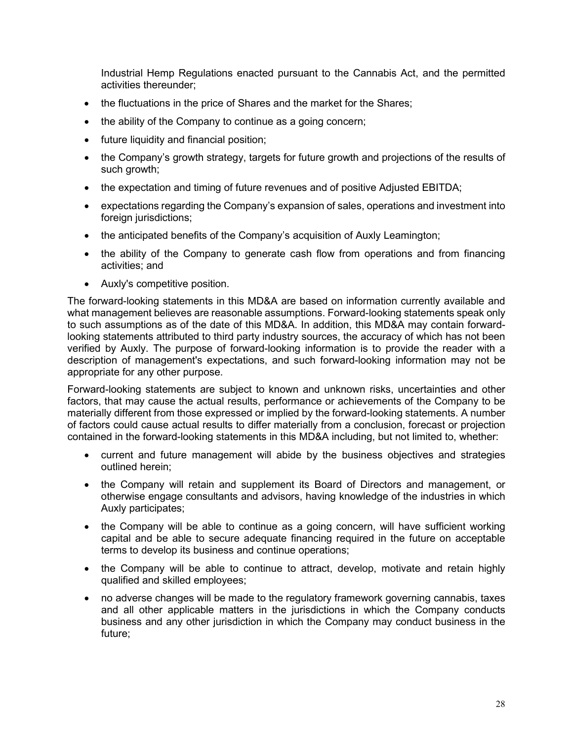Industrial Hemp Regulations enacted pursuant to the Cannabis Act, and the permitted activities thereunder;

- the fluctuations in the price of Shares and the market for the Shares;
- the ability of the Company to continue as a going concern;
- future liquidity and financial position;
- the Company's growth strategy, targets for future growth and projections of the results of such growth;
- the expectation and timing of future revenues and of positive Adjusted EBITDA;
- expectations regarding the Company's expansion of sales, operations and investment into foreign jurisdictions;
- the anticipated benefits of the Company's acquisition of Auxly Leamington;
- the ability of the Company to generate cash flow from operations and from financing activities; and
- Auxly's competitive position.

The forward-looking statements in this MD&A are based on information currently available and what management believes are reasonable assumptions. Forward-looking statements speak only to such assumptions as of the date of this MD&A. In addition, this MD&A may contain forwardlooking statements attributed to third party industry sources, the accuracy of which has not been verified by Auxly. The purpose of forward-looking information is to provide the reader with a description of management's expectations, and such forward-looking information may not be appropriate for any other purpose.

Forward-looking statements are subject to known and unknown risks, uncertainties and other factors, that may cause the actual results, performance or achievements of the Company to be materially different from those expressed or implied by the forward-looking statements. A number of factors could cause actual results to differ materially from a conclusion, forecast or projection contained in the forward-looking statements in this MD&A including, but not limited to, whether:

- current and future management will abide by the business objectives and strategies outlined herein;
- the Company will retain and supplement its Board of Directors and management, or otherwise engage consultants and advisors, having knowledge of the industries in which Auxly participates;
- the Company will be able to continue as a going concern, will have sufficient working capital and be able to secure adequate financing required in the future on acceptable terms to develop its business and continue operations;
- the Company will be able to continue to attract, develop, motivate and retain highly qualified and skilled employees;
- no adverse changes will be made to the regulatory framework governing cannabis, taxes and all other applicable matters in the jurisdictions in which the Company conducts business and any other jurisdiction in which the Company may conduct business in the future;